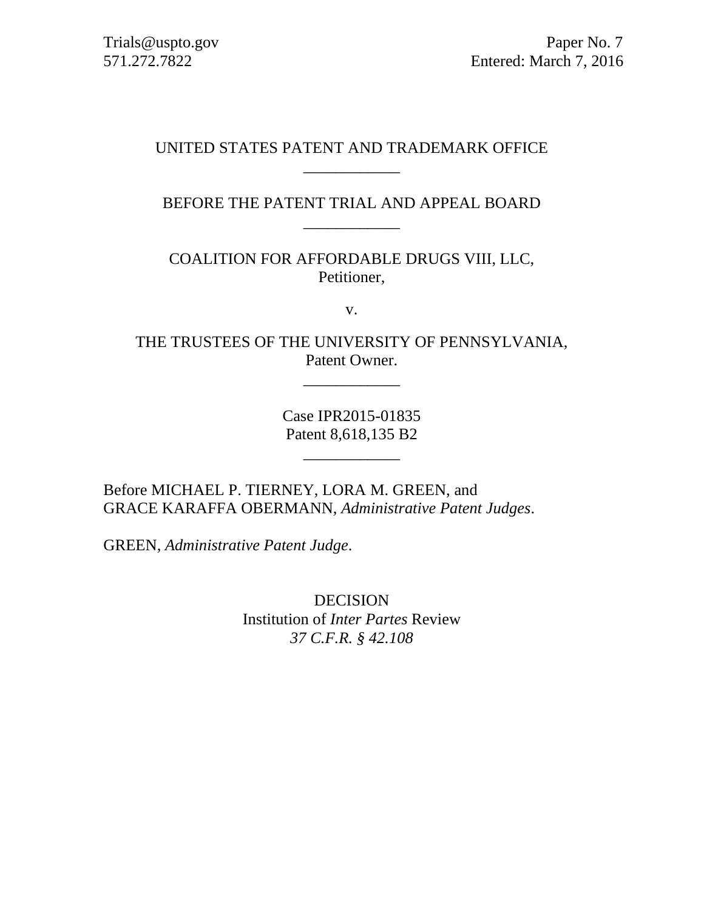# UNITED STATES PATENT AND TRADEMARK OFFICE \_\_\_\_\_\_\_\_\_\_\_\_

BEFORE THE PATENT TRIAL AND APPEAL BOARD \_\_\_\_\_\_\_\_\_\_\_\_

COALITION FOR AFFORDABLE DRUGS VIII, LLC, Petitioner,

v.

THE TRUSTEES OF THE UNIVERSITY OF PENNSYLVANIA, Patent Owner.

\_\_\_\_\_\_\_\_\_\_\_\_

Case IPR2015-01835 Patent 8,618,135 B2

\_\_\_\_\_\_\_\_\_\_\_\_

Before MICHAEL P. TIERNEY, LORA M. GREEN, and GRACE KARAFFA OBERMANN, *Administrative Patent Judges*.

GREEN, *Administrative Patent Judge*.

DECISION Institution of *Inter Partes* Review *37 C.F.R. § 42.108*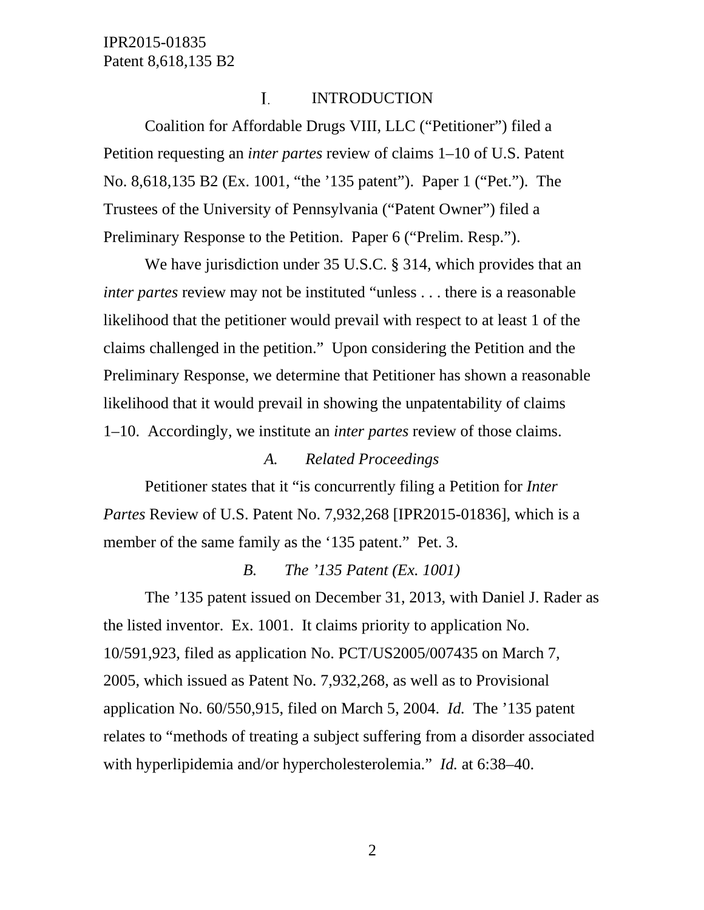#### Ι. INTRODUCTION

Coalition for Affordable Drugs VIII, LLC ("Petitioner") filed a Petition requesting an *inter partes* review of claims 1–10 of U.S. Patent No. 8,618,135 B2 (Ex. 1001, "the '135 patent"). Paper 1 ("Pet."). The Trustees of the University of Pennsylvania ("Patent Owner") filed a Preliminary Response to the Petition. Paper 6 ("Prelim. Resp.").

We have jurisdiction under 35 U.S.C. § 314, which provides that an *inter partes* review may not be instituted "unless . . . there is a reasonable likelihood that the petitioner would prevail with respect to at least 1 of the claims challenged in the petition." Upon considering the Petition and the Preliminary Response, we determine that Petitioner has shown a reasonable likelihood that it would prevail in showing the unpatentability of claims 1–10. Accordingly, we institute an *inter partes* review of those claims.

#### *A. Related Proceedings*

Petitioner states that it "is concurrently filing a Petition for *Inter Partes* Review of U.S. Patent No. 7,932,268 [IPR2015-01836], which is a member of the same family as the '135 patent." Pet. 3.

#### *B. The '135 Patent (Ex. 1001)*

The '135 patent issued on December 31, 2013, with Daniel J. Rader as the listed inventor. Ex. 1001. It claims priority to application No. 10/591,923, filed as application No. PCT/US2005/007435 on March 7, 2005, which issued as Patent No. 7,932,268, as well as to Provisional application No. 60/550,915, filed on March 5, 2004. *Id.* The '135 patent relates to "methods of treating a subject suffering from a disorder associated with hyperlipidemia and/or hypercholesterolemia." *Id.* at 6:38–40.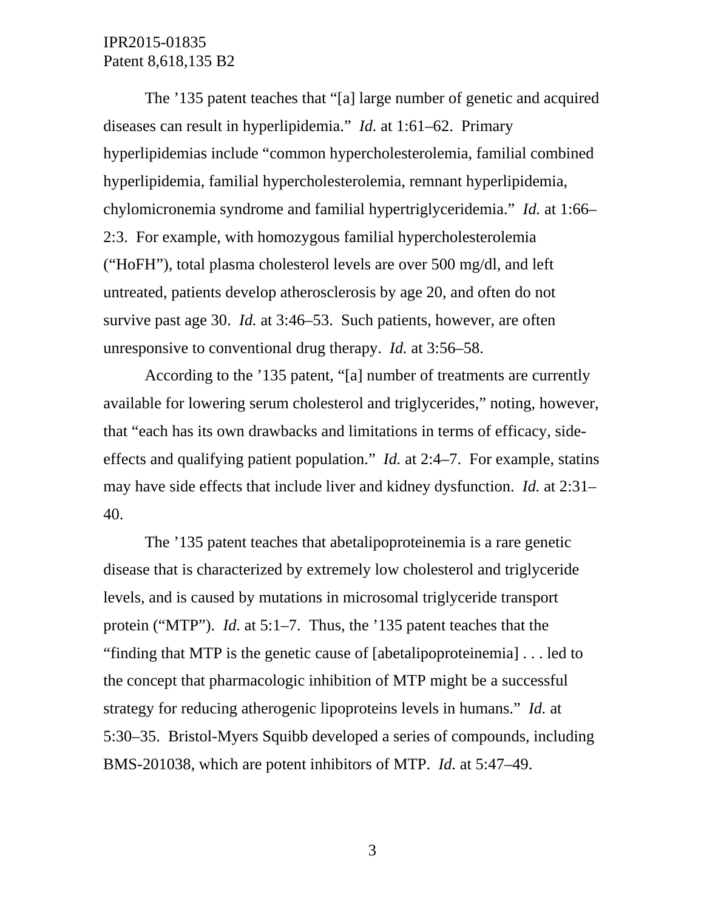The '135 patent teaches that "[a] large number of genetic and acquired diseases can result in hyperlipidemia." *Id.* at 1:61–62. Primary hyperlipidemias include "common hypercholesterolemia, familial combined hyperlipidemia, familial hypercholesterolemia, remnant hyperlipidemia, chylomicronemia syndrome and familial hypertriglyceridemia." *Id.* at 1:66– 2:3. For example, with homozygous familial hypercholesterolemia ("HoFH"), total plasma cholesterol levels are over 500 mg/dl, and left untreated, patients develop atherosclerosis by age 20, and often do not survive past age 30. *Id.* at 3:46–53. Such patients, however, are often unresponsive to conventional drug therapy. *Id.* at 3:56–58.

According to the '135 patent, "[a] number of treatments are currently available for lowering serum cholesterol and triglycerides," noting, however, that "each has its own drawbacks and limitations in terms of efficacy, sideeffects and qualifying patient population." *Id.* at 2:4–7. For example, statins may have side effects that include liver and kidney dysfunction. *Id.* at 2:31– 40.

The '135 patent teaches that abetalipoproteinemia is a rare genetic disease that is characterized by extremely low cholesterol and triglyceride levels, and is caused by mutations in microsomal triglyceride transport protein ("MTP"). *Id.* at 5:1–7. Thus, the '135 patent teaches that the "finding that MTP is the genetic cause of [abetalipoproteinemia] . . . led to the concept that pharmacologic inhibition of MTP might be a successful strategy for reducing atherogenic lipoproteins levels in humans." *Id.* at 5:30–35. Bristol-Myers Squibb developed a series of compounds, including BMS-201038, which are potent inhibitors of MTP. *Id.* at 5:47–49.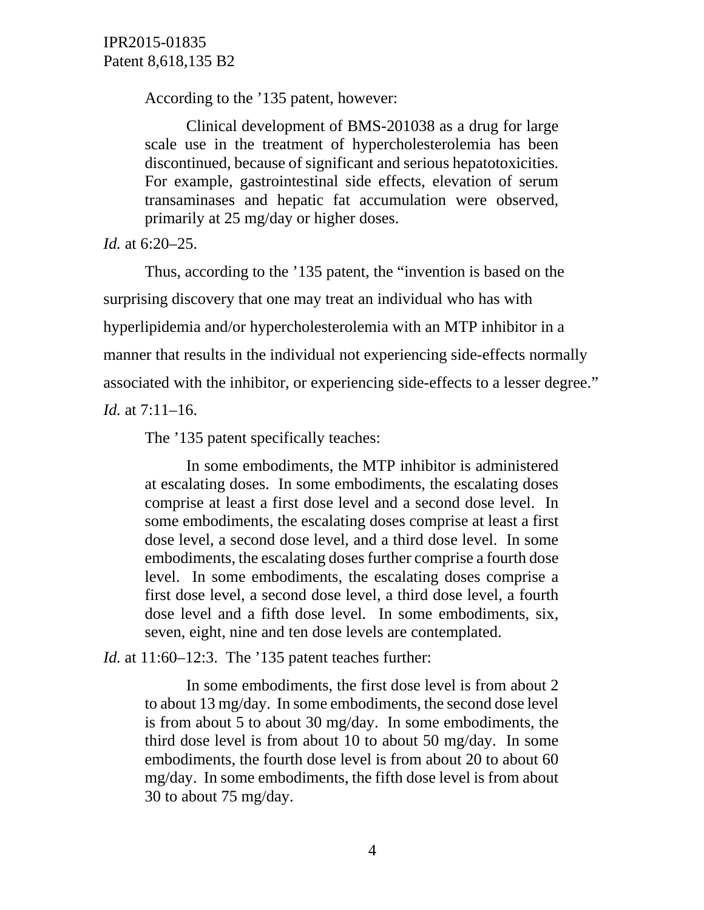According to the '135 patent, however:

Clinical development of BMS-201038 as a drug for large scale use in the treatment of hypercholesterolemia has been discontinued, because of significant and serious hepatotoxicities. For example, gastrointestinal side effects, elevation of serum transaminases and hepatic fat accumulation were observed, primarily at 25 mg/day or higher doses.

*Id.* at 6:20–25.

Thus, according to the '135 patent, the "invention is based on the surprising discovery that one may treat an individual who has with hyperlipidemia and/or hypercholesterolemia with an MTP inhibitor in a manner that results in the individual not experiencing side-effects normally associated with the inhibitor, or experiencing side-effects to a lesser degree."

*Id.* at 7:11–16.

The '135 patent specifically teaches:

In some embodiments, the MTP inhibitor is administered at escalating doses. In some embodiments, the escalating doses comprise at least a first dose level and a second dose level. In some embodiments, the escalating doses comprise at least a first dose level, a second dose level, and a third dose level. In some embodiments, the escalating doses further comprise a fourth dose level. In some embodiments, the escalating doses comprise a first dose level, a second dose level, a third dose level, a fourth dose level and a fifth dose level. In some embodiments, six, seven, eight, nine and ten dose levels are contemplated.

*Id.* at 11:60–12:3. The '135 patent teaches further:

In some embodiments, the first dose level is from about 2 to about 13 mg/day. In some embodiments, the second dose level is from about 5 to about 30 mg/day. In some embodiments, the third dose level is from about 10 to about 50 mg/day. In some embodiments, the fourth dose level is from about 20 to about 60 mg/day. In some embodiments, the fifth dose level is from about 30 to about 75 mg/day.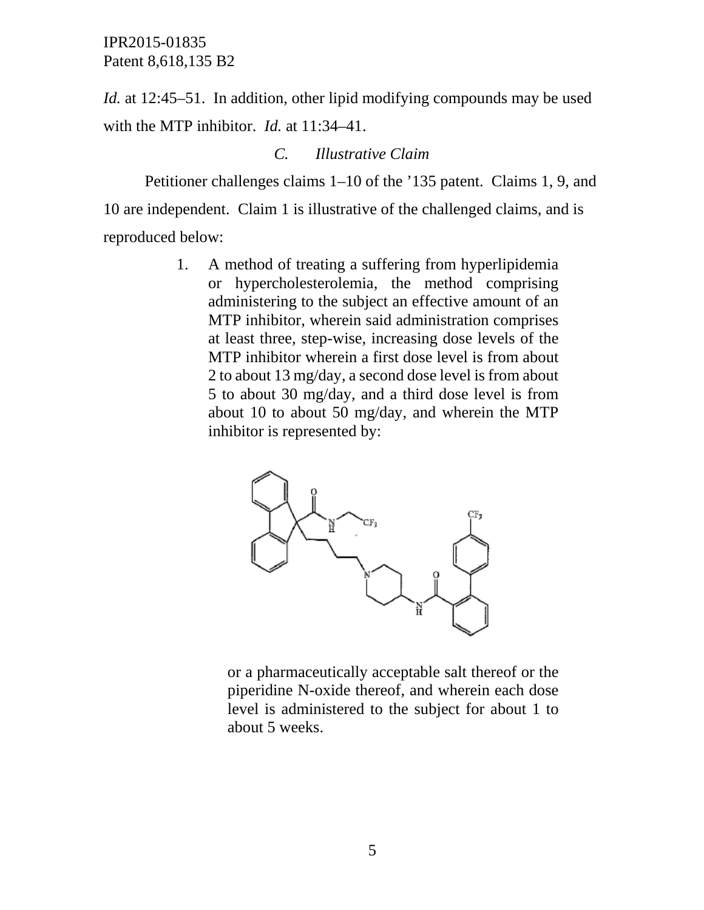*Id.* at 12:45–51. In addition, other lipid modifying compounds may be used with the MTP inhibitor. *Id.* at 11:34–41.

## *C. Illustrative Claim*

Petitioner challenges claims 1–10 of the '135 patent. Claims 1, 9, and 10 are independent. Claim 1 is illustrative of the challenged claims, and is reproduced below:

> 1. A method of treating a suffering from hyperlipidemia or hypercholesterolemia, the method comprising administering to the subject an effective amount of an MTP inhibitor, wherein said administration comprises at least three, step-wise, increasing dose levels of the MTP inhibitor wherein a first dose level is from about 2 to about 13 mg/day, a second dose level is from about 5 to about 30 mg/day, and a third dose level is from about 10 to about 50 mg/day, and wherein the MTP inhibitor is represented by:



or a pharmaceutically acceptable salt thereof or the piperidine N-oxide thereof, and wherein each dose level is administered to the subject for about 1 to about 5 weeks.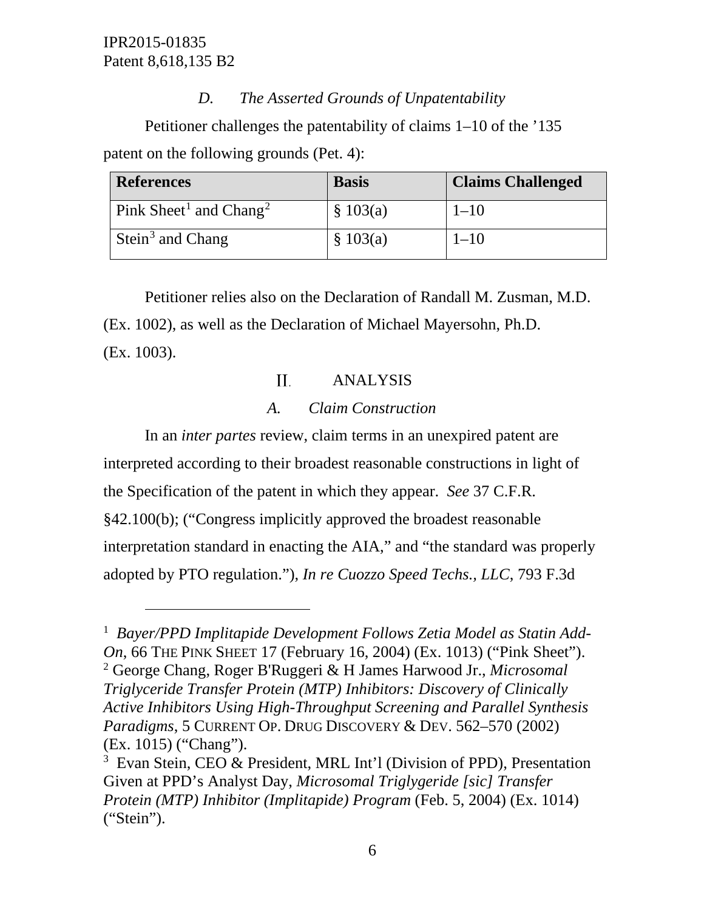$\overline{a}$ 

# *D. The Asserted Grounds of Unpatentability*

Petitioner challenges the patentability of claims 1–10 of the '135 patent on the following grounds (Pet. 4):

| <b>References</b>                              | <b>Basis</b> | <b>Claims Challenged</b> |
|------------------------------------------------|--------------|--------------------------|
| Pink Sheet <sup>1</sup> and Chang <sup>2</sup> | \$103(a)     | $1 - 10$                 |
| Stein <sup>3</sup> and Chang                   | \$103(a)     | $1 - 10$                 |

Petitioner relies also on the Declaration of Randall M. Zusman, M.D. (Ex. 1002), as well as the Declaration of Michael Mayersohn, Ph.D. (Ex. 1003).

#### II. ANALYSIS

# *A. Claim Construction*

In an *inter partes* review, claim terms in an unexpired patent are interpreted according to their broadest reasonable constructions in light of the Specification of the patent in which they appear. *See* 37 C.F.R. §42.100(b); ("Congress implicitly approved the broadest reasonable interpretation standard in enacting the AIA," and "the standard was properly adopted by PTO regulation."), *In re Cuozzo Speed Techs., LLC*, 793 F.3d

<span id="page-5-1"></span><span id="page-5-0"></span><sup>&</sup>lt;sup>1</sup> Bayer/PPD Implitapide Development Follows Zetia Model as Statin Add-*On*, 66 THE PINK SHEET 17 (February 16, 2004) (Ex. 1013) ("Pink Sheet"). <sup>2</sup> George Chang, Roger B'Ruggeri & H James Harwood Jr., *Microsomal Triglyceride Transfer Protein (MTP) Inhibitors: Discovery of Clinically Active Inhibitors Using High-Throughput Screening and Parallel Synthesis Paradigms*, 5 CURRENT OP. DRUG DISCOVERY & DEV. 562–570 (2002) (Ex. 1015) ("Chang").

<span id="page-5-2"></span><sup>&</sup>lt;sup>3</sup> Evan Stein, CEO & President, MRL Int'l (Division of PPD), Presentation Given at PPD's Analyst Day, *Microsomal Triglygeride [sic] Transfer Protein (MTP) Inhibitor (Implitapide) Program* (Feb. 5, 2004) (Ex. 1014) ("Stein").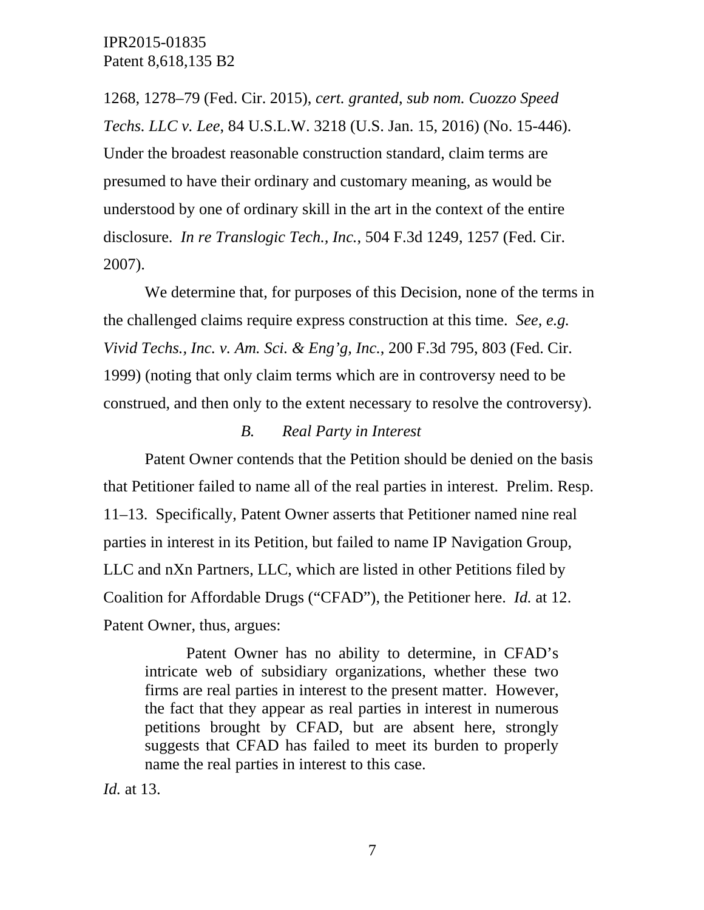1268, 1278–79 (Fed. Cir. 2015), *cert. granted*, *sub nom. Cuozzo Speed Techs. LLC v. Lee*, 84 U.S.L.W. 3218 (U.S. Jan. 15, 2016) (No. 15-446). Under the broadest reasonable construction standard, claim terms are presumed to have their ordinary and customary meaning, as would be understood by one of ordinary skill in the art in the context of the entire disclosure. *In re Translogic Tech., Inc.*, 504 F.3d 1249, 1257 (Fed. Cir. 2007).

We determine that, for purposes of this Decision, none of the terms in the challenged claims require express construction at this time. *See, e.g. Vivid Techs., Inc. v. Am. Sci. & Eng'g, Inc.*, 200 F.3d 795, 803 (Fed. Cir. 1999) (noting that only claim terms which are in controversy need to be construed, and then only to the extent necessary to resolve the controversy).

#### *B. Real Party in Interest*

Patent Owner contends that the Petition should be denied on the basis that Petitioner failed to name all of the real parties in interest. Prelim. Resp. 11–13. Specifically, Patent Owner asserts that Petitioner named nine real parties in interest in its Petition, but failed to name IP Navigation Group, LLC and nXn Partners, LLC, which are listed in other Petitions filed by Coalition for Affordable Drugs ("CFAD"), the Petitioner here. *Id.* at 12. Patent Owner, thus, argues:

Patent Owner has no ability to determine, in CFAD's intricate web of subsidiary organizations, whether these two firms are real parties in interest to the present matter. However, the fact that they appear as real parties in interest in numerous petitions brought by CFAD, but are absent here, strongly suggests that CFAD has failed to meet its burden to properly name the real parties in interest to this case.

*Id.* at 13.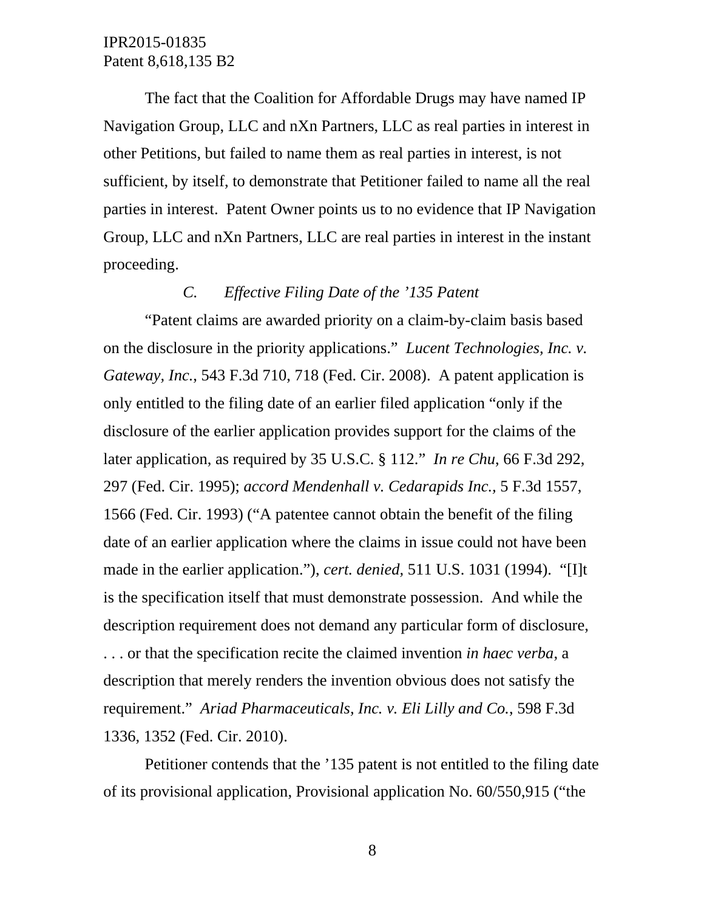The fact that the Coalition for Affordable Drugs may have named IP Navigation Group, LLC and nXn Partners, LLC as real parties in interest in other Petitions, but failed to name them as real parties in interest, is not sufficient, by itself, to demonstrate that Petitioner failed to name all the real parties in interest. Patent Owner points us to no evidence that IP Navigation Group, LLC and nXn Partners, LLC are real parties in interest in the instant proceeding.

# *C. Effective Filing Date of the '135 Patent*

"Patent claims are awarded priority on a claim-by-claim basis based on the disclosure in the priority applications." *Lucent Technologies, Inc. v. Gateway, Inc.*, 543 F.3d 710, 718 (Fed. Cir. 2008). A patent application is only entitled to the filing date of an earlier filed application "only if the disclosure of the earlier application provides support for the claims of the later application, as required by 35 U.S.C. § 112." *In re Chu*, 66 F.3d 292, 297 (Fed. Cir. 1995); *accord Mendenhall v. Cedarapids Inc.,* 5 F.3d 1557, 1566 (Fed. Cir. 1993) ("A patentee cannot obtain the benefit of the filing date of an earlier application where the claims in issue could not have been made in the earlier application."), *cert. denied,* 511 U.S. 1031 (1994). "[I]t is the specification itself that must demonstrate possession. And while the description requirement does not demand any particular form of disclosure, . . . or that the specification recite the claimed invention *in haec verba*, a description that merely renders the invention obvious does not satisfy the requirement." *Ariad Pharmaceuticals, Inc. v. Eli Lilly and Co.*, 598 F.3d 1336, 1352 (Fed. Cir. 2010).

Petitioner contends that the '135 patent is not entitled to the filing date of its provisional application, Provisional application No. 60/550,915 ("the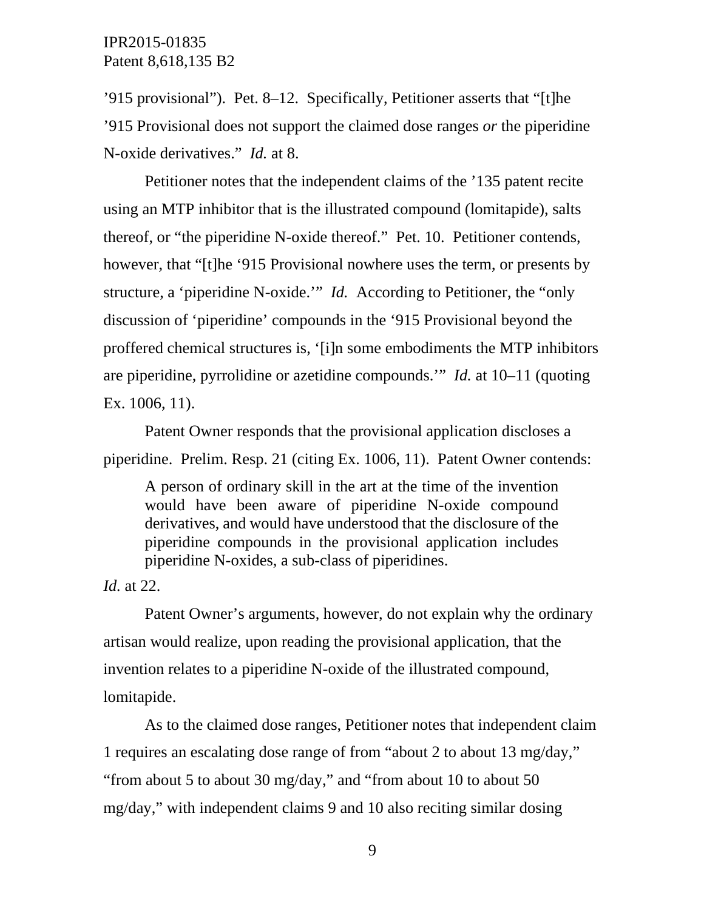'915 provisional"). Pet. 8–12. Specifically, Petitioner asserts that "[t]he '915 Provisional does not support the claimed dose ranges *or* the piperidine N-oxide derivatives." *Id.* at 8.

Petitioner notes that the independent claims of the '135 patent recite using an MTP inhibitor that is the illustrated compound (lomitapide), salts thereof, or "the piperidine N-oxide thereof." Pet. 10. Petitioner contends, however, that "[t]he '915 Provisional nowhere uses the term, or presents by structure, a 'piperidine N-oxide.'" *Id.* According to Petitioner, the "only discussion of 'piperidine' compounds in the '915 Provisional beyond the proffered chemical structures is, '[i]n some embodiments the MTP inhibitors are piperidine, pyrrolidine or azetidine compounds.'" *Id.* at 10–11 (quoting Ex. 1006, 11).

Patent Owner responds that the provisional application discloses a piperidine. Prelim. Resp. 21 (citing Ex. 1006, 11). Patent Owner contends:

A person of ordinary skill in the art at the time of the invention would have been aware of piperidine N-oxide compound derivatives, and would have understood that the disclosure of the piperidine compounds in the provisional application includes piperidine N-oxides, a sub-class of piperidines.

*Id.* at 22.

Patent Owner's arguments, however, do not explain why the ordinary artisan would realize, upon reading the provisional application, that the invention relates to a piperidine N-oxide of the illustrated compound, lomitapide.

As to the claimed dose ranges, Petitioner notes that independent claim 1 requires an escalating dose range of from "about 2 to about 13 mg/day," "from about 5 to about 30 mg/day," and "from about 10 to about 50 mg/day," with independent claims 9 and 10 also reciting similar dosing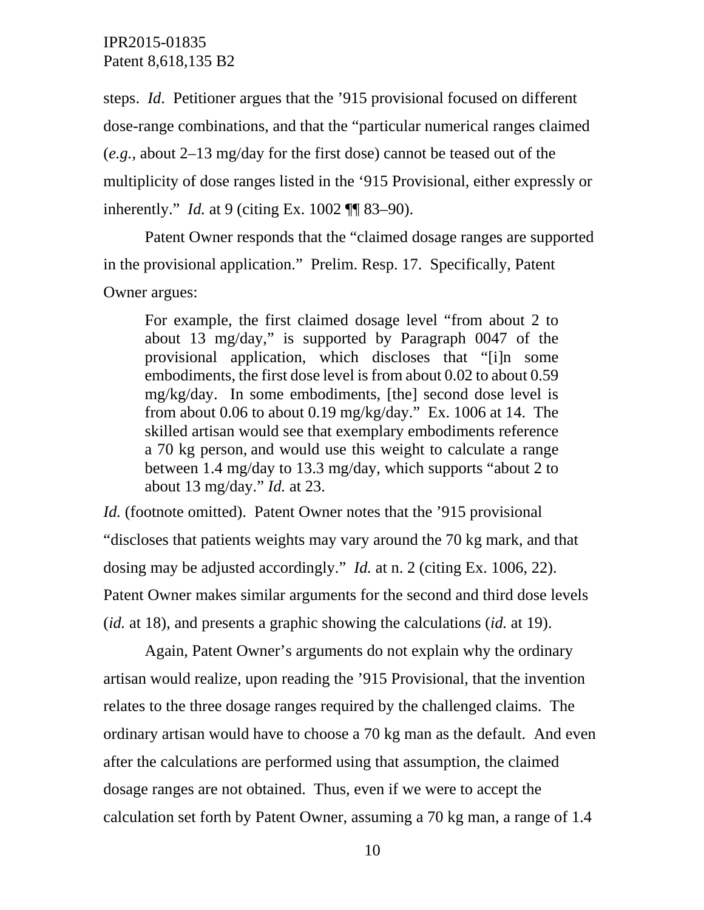steps. *Id*. Petitioner argues that the '915 provisional focused on different dose-range combinations, and that the "particular numerical ranges claimed (*e.g.*, about 2–13 mg/day for the first dose) cannot be teased out of the multiplicity of dose ranges listed in the '915 Provisional, either expressly or inherently." *Id.* at 9 (citing Ex. 1002 ¶¶ 83–90).

Patent Owner responds that the "claimed dosage ranges are supported in the provisional application." Prelim. Resp. 17. Specifically, Patent Owner argues:

For example, the first claimed dosage level "from about 2 to about 13 mg/day," is supported by Paragraph 0047 of the provisional application, which discloses that "[i]n some embodiments, the first dose level is from about 0.02 to about 0.59 mg/kg/day. In some embodiments, [the] second dose level is from about 0.06 to about 0.19 mg/kg/day." Ex. 1006 at 14. The skilled artisan would see that exemplary embodiments reference a 70 kg person, and would use this weight to calculate a range between 1.4 mg/day to 13.3 mg/day, which supports "about 2 to about 13 mg/day." *Id.* at 23.

*Id.* (footnote omitted). Patent Owner notes that the '915 provisional "discloses that patients weights may vary around the 70 kg mark, and that dosing may be adjusted accordingly." *Id.* at n. 2 (citing Ex. 1006, 22). Patent Owner makes similar arguments for the second and third dose levels (*id.* at 18), and presents a graphic showing the calculations (*id.* at 19).

Again, Patent Owner's arguments do not explain why the ordinary artisan would realize, upon reading the '915 Provisional, that the invention relates to the three dosage ranges required by the challenged claims. The ordinary artisan would have to choose a 70 kg man as the default. And even after the calculations are performed using that assumption, the claimed dosage ranges are not obtained. Thus, even if we were to accept the calculation set forth by Patent Owner, assuming a 70 kg man, a range of 1.4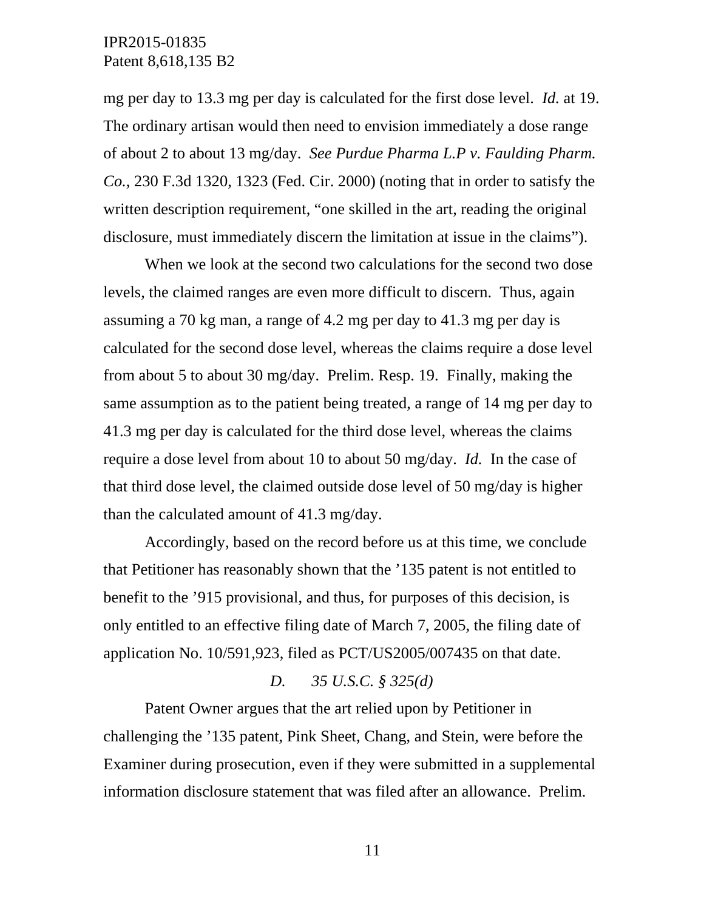mg per day to 13.3 mg per day is calculated for the first dose level. *Id.* at 19. The ordinary artisan would then need to envision immediately a dose range of about 2 to about 13 mg/day. *See Purdue Pharma L.P v. Faulding Pharm. Co.*, 230 F.3d 1320, 1323 (Fed. Cir. 2000) (noting that in order to satisfy the written description requirement, "one skilled in the art, reading the original disclosure, must immediately discern the limitation at issue in the claims").

When we look at the second two calculations for the second two dose levels, the claimed ranges are even more difficult to discern. Thus, again assuming a 70 kg man, a range of 4.2 mg per day to 41.3 mg per day is calculated for the second dose level, whereas the claims require a dose level from about 5 to about 30 mg/day. Prelim. Resp. 19. Finally, making the same assumption as to the patient being treated, a range of 14 mg per day to 41.3 mg per day is calculated for the third dose level, whereas the claims require a dose level from about 10 to about 50 mg/day. *Id.* In the case of that third dose level, the claimed outside dose level of 50 mg/day is higher than the calculated amount of 41.3 mg/day.

Accordingly, based on the record before us at this time, we conclude that Petitioner has reasonably shown that the '135 patent is not entitled to benefit to the '915 provisional, and thus, for purposes of this decision, is only entitled to an effective filing date of March 7, 2005, the filing date of application No. 10/591,923, filed as PCT/US2005/007435 on that date.

#### *D. 35 U.S.C. § 325(d)*

Patent Owner argues that the art relied upon by Petitioner in challenging the '135 patent, Pink Sheet, Chang, and Stein, were before the Examiner during prosecution, even if they were submitted in a supplemental information disclosure statement that was filed after an allowance. Prelim.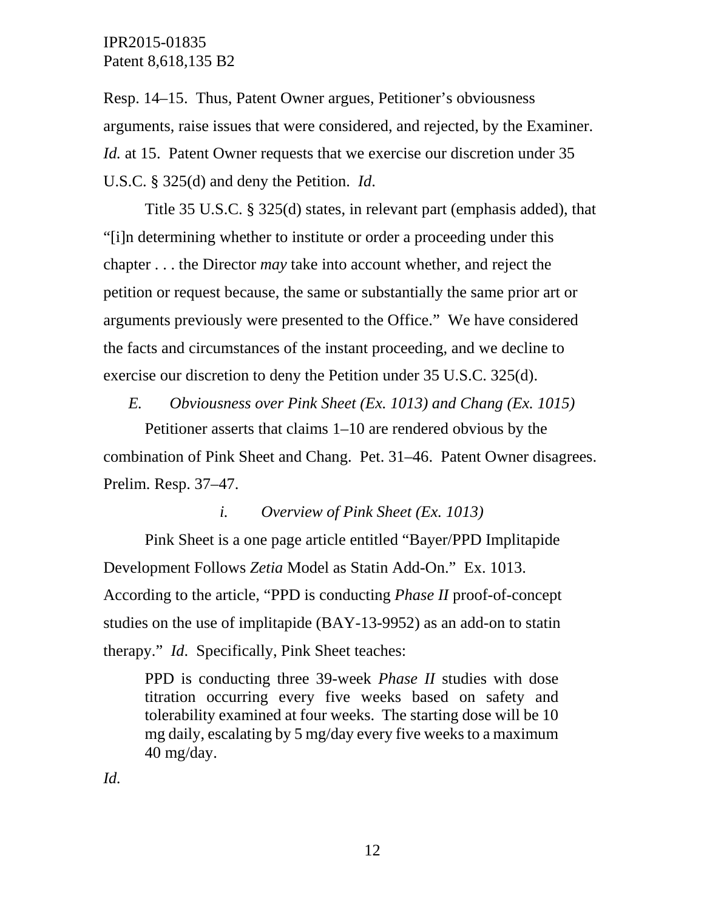Resp. 14–15. Thus, Patent Owner argues, Petitioner's obviousness arguments, raise issues that were considered, and rejected, by the Examiner. *Id.* at 15. Patent Owner requests that we exercise our discretion under 35 U.S.C. § 325(d) and deny the Petition. *Id*.

Title 35 U.S.C. § 325(d) states, in relevant part (emphasis added), that "[i]n determining whether to institute or order a proceeding under this chapter . . . the Director *may* take into account whether, and reject the petition or request because, the same or substantially the same prior art or arguments previously were presented to the Office." We have considered the facts and circumstances of the instant proceeding, and we decline to exercise our discretion to deny the Petition under 35 U.S.C. 325(d).

*E. Obviousness over Pink Sheet (Ex. 1013) and Chang (Ex. 1015)*

Petitioner asserts that claims 1–10 are rendered obvious by the combination of Pink Sheet and Chang. Pet. 31–46. Patent Owner disagrees. Prelim. Resp. 37–47.

*i. Overview of Pink Sheet (Ex. 1013)*

Pink Sheet is a one page article entitled "Bayer/PPD Implitapide Development Follows *Zetia* Model as Statin Add-On." Ex. 1013. According to the article, "PPD is conducting *Phase II* proof-of-concept studies on the use of implitapide (BAY-13-9952) as an add-on to statin therapy." *Id*. Specifically, Pink Sheet teaches:

PPD is conducting three 39-week *Phase II* studies with dose titration occurring every five weeks based on safety and tolerability examined at four weeks. The starting dose will be 10 mg daily, escalating by 5 mg/day every five weeks to a maximum 40 mg/day.

*Id.*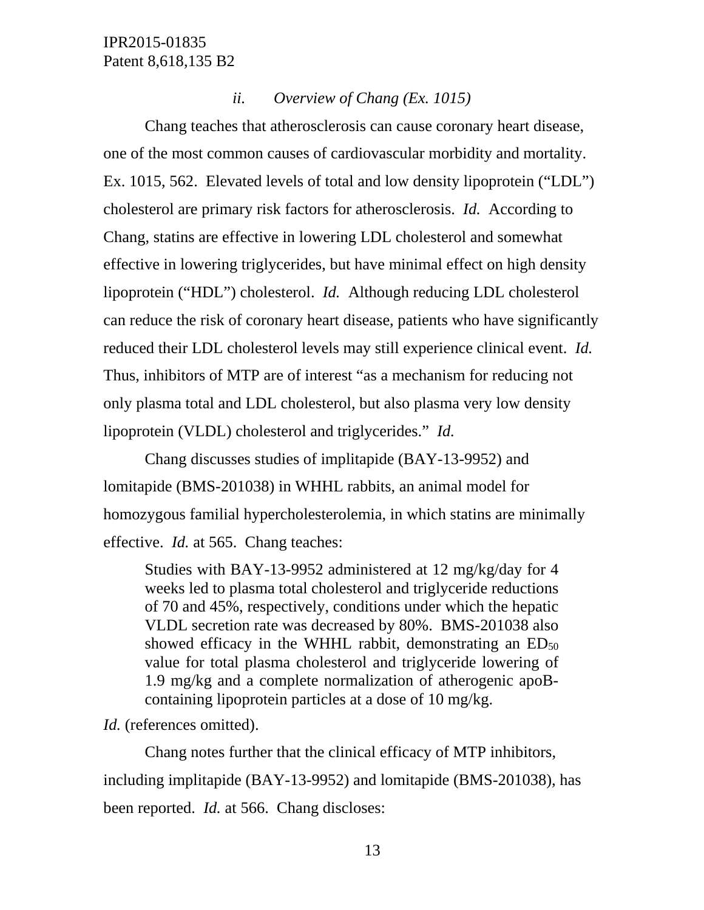### *ii. Overview of Chang (Ex. 1015)*

Chang teaches that atherosclerosis can cause coronary heart disease, one of the most common causes of cardiovascular morbidity and mortality. Ex. 1015, 562. Elevated levels of total and low density lipoprotein ("LDL") cholesterol are primary risk factors for atherosclerosis. *Id.* According to Chang, statins are effective in lowering LDL cholesterol and somewhat effective in lowering triglycerides, but have minimal effect on high density lipoprotein ("HDL") cholesterol. *Id.* Although reducing LDL cholesterol can reduce the risk of coronary heart disease, patients who have significantly reduced their LDL cholesterol levels may still experience clinical event. *Id.* Thus, inhibitors of MTP are of interest "as a mechanism for reducing not only plasma total and LDL cholesterol, but also plasma very low density lipoprotein (VLDL) cholesterol and triglycerides." *Id.*

Chang discusses studies of implitapide (BAY-13-9952) and lomitapide (BMS-201038) in WHHL rabbits, an animal model for homozygous familial hypercholesterolemia, in which statins are minimally effective. *Id.* at 565. Chang teaches:

Studies with BAY-13-9952 administered at 12 mg/kg/day for 4 weeks led to plasma total cholesterol and triglyceride reductions of 70 and 45%, respectively, conditions under which the hepatic VLDL secretion rate was decreased by 80%. BMS-201038 also showed efficacy in the WHHL rabbit, demonstrating an  $ED_{50}$ value for total plasma cholesterol and triglyceride lowering of 1.9 mg/kg and a complete normalization of atherogenic apoBcontaining lipoprotein particles at a dose of 10 mg/kg.

*Id.* (references omitted).

Chang notes further that the clinical efficacy of MTP inhibitors, including implitapide (BAY-13-9952) and lomitapide (BMS-201038), has been reported. *Id.* at 566. Chang discloses: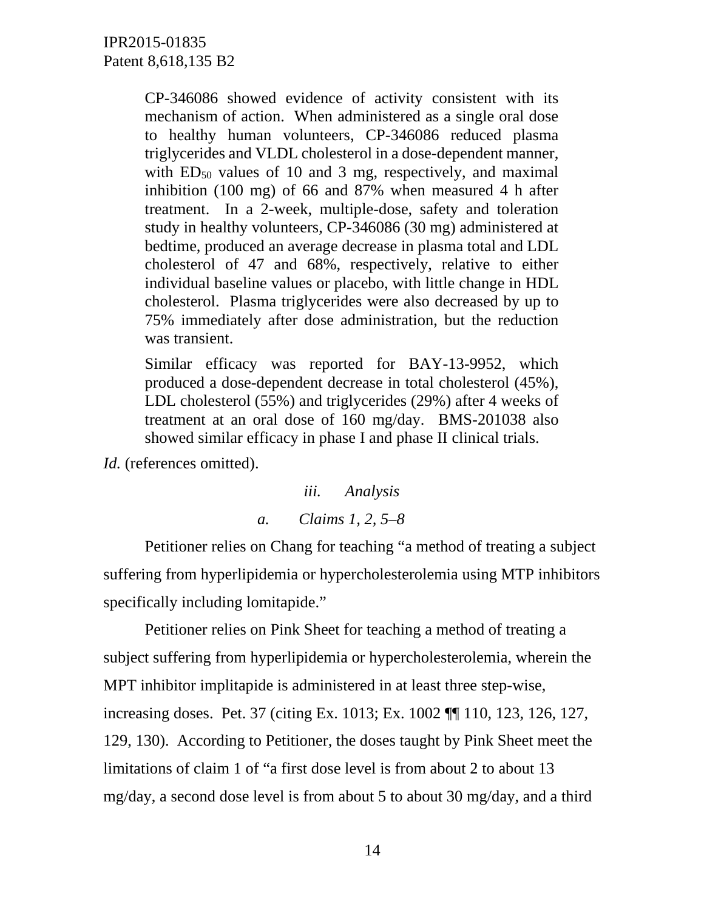CP-346086 showed evidence of activity consistent with its mechanism of action. When administered as a single oral dose to healthy human volunteers, CP-346086 reduced plasma triglycerides and VLDL cholesterol in a dose-dependent manner, with  $ED_{50}$  values of 10 and 3 mg, respectively, and maximal inhibition (100 mg) of 66 and 87% when measured 4 h after treatment. In a 2-week, multiple-dose, safety and toleration study in healthy volunteers, CP-346086 (30 mg) administered at bedtime, produced an average decrease in plasma total and LDL cholesterol of 47 and 68%, respectively, relative to either individual baseline values or placebo, with little change in HDL cholesterol. Plasma triglycerides were also decreased by up to 75% immediately after dose administration, but the reduction was transient.

Similar efficacy was reported for BAY-13-9952, which produced a dose-dependent decrease in total cholesterol (45%), LDL cholesterol (55%) and triglycerides (29%) after 4 weeks of treatment at an oral dose of 160 mg/day. BMS-201038 also showed similar efficacy in phase I and phase II clinical trials.

*Id.* (references omitted).

*iii. Analysis a. Claims 1, 2, 5–8*

Petitioner relies on Chang for teaching "a method of treating a subject suffering from hyperlipidemia or hypercholesterolemia using MTP inhibitors specifically including lomitapide."

Petitioner relies on Pink Sheet for teaching a method of treating a subject suffering from hyperlipidemia or hypercholesterolemia, wherein the MPT inhibitor implitapide is administered in at least three step-wise, increasing doses. Pet. 37 (citing Ex. 1013; Ex. 1002 ¶¶ 110, 123, 126, 127, 129, 130). According to Petitioner, the doses taught by Pink Sheet meet the limitations of claim 1 of "a first dose level is from about 2 to about 13 mg/day, a second dose level is from about 5 to about 30 mg/day, and a third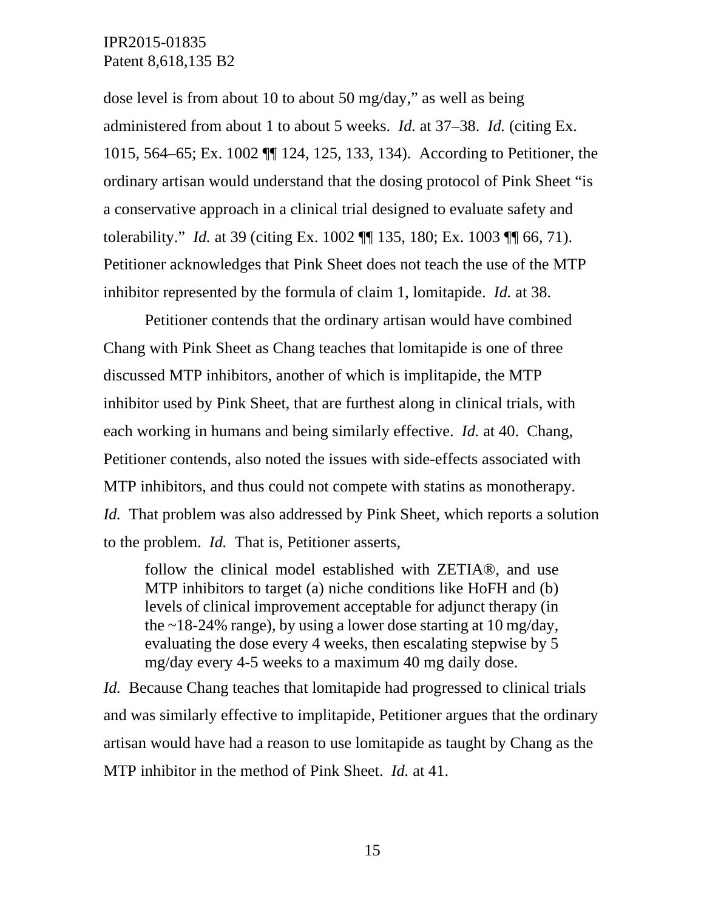dose level is from about 10 to about 50 mg/day," as well as being administered from about 1 to about 5 weeks. *Id.* at 37–38. *Id.* (citing Ex. 1015, 564–65; Ex. 1002 ¶¶ 124, 125, 133, 134). According to Petitioner, the ordinary artisan would understand that the dosing protocol of Pink Sheet "is a conservative approach in a clinical trial designed to evaluate safety and tolerability." *Id.* at 39 (citing Ex. 1002 ¶¶ 135, 180; Ex. 1003 ¶¶ 66, 71). Petitioner acknowledges that Pink Sheet does not teach the use of the MTP inhibitor represented by the formula of claim 1, lomitapide. *Id.* at 38.

Petitioner contends that the ordinary artisan would have combined Chang with Pink Sheet as Chang teaches that lomitapide is one of three discussed MTP inhibitors, another of which is implitapide, the MTP inhibitor used by Pink Sheet, that are furthest along in clinical trials, with each working in humans and being similarly effective. *Id.* at 40. Chang, Petitioner contends, also noted the issues with side-effects associated with MTP inhibitors, and thus could not compete with statins as monotherapy. *Id.* That problem was also addressed by Pink Sheet, which reports a solution to the problem. *Id.* That is, Petitioner asserts,

follow the clinical model established with ZETIA®, and use MTP inhibitors to target (a) niche conditions like HoFH and (b) levels of clinical improvement acceptable for adjunct therapy (in the  $\sim$ 18-24% range), by using a lower dose starting at 10 mg/day, evaluating the dose every 4 weeks, then escalating stepwise by 5 mg/day every 4-5 weeks to a maximum 40 mg daily dose.

*Id.* Because Chang teaches that lomitapide had progressed to clinical trials and was similarly effective to implitapide, Petitioner argues that the ordinary artisan would have had a reason to use lomitapide as taught by Chang as the MTP inhibitor in the method of Pink Sheet. *Id.* at 41.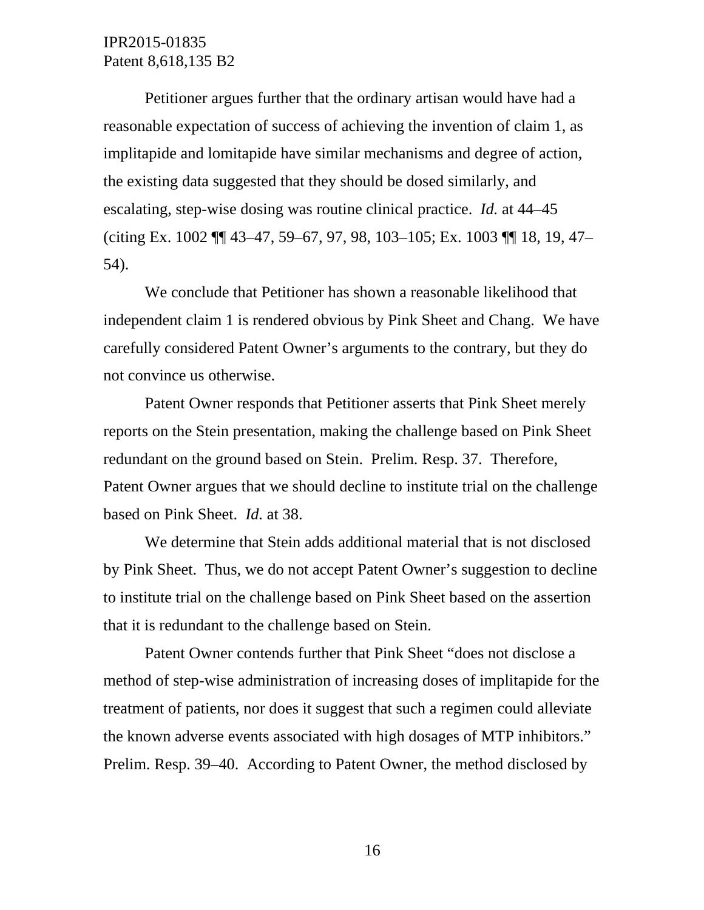Petitioner argues further that the ordinary artisan would have had a reasonable expectation of success of achieving the invention of claim 1, as implitapide and lomitapide have similar mechanisms and degree of action, the existing data suggested that they should be dosed similarly, and escalating, step-wise dosing was routine clinical practice. *Id.* at 44–45 (citing Ex. 1002 ¶¶ 43–47, 59–67, 97, 98, 103–105; Ex. 1003 ¶¶ 18, 19, 47– 54).

We conclude that Petitioner has shown a reasonable likelihood that independent claim 1 is rendered obvious by Pink Sheet and Chang. We have carefully considered Patent Owner's arguments to the contrary, but they do not convince us otherwise.

Patent Owner responds that Petitioner asserts that Pink Sheet merely reports on the Stein presentation, making the challenge based on Pink Sheet redundant on the ground based on Stein. Prelim. Resp. 37. Therefore, Patent Owner argues that we should decline to institute trial on the challenge based on Pink Sheet. *Id.* at 38.

We determine that Stein adds additional material that is not disclosed by Pink Sheet. Thus, we do not accept Patent Owner's suggestion to decline to institute trial on the challenge based on Pink Sheet based on the assertion that it is redundant to the challenge based on Stein.

Patent Owner contends further that Pink Sheet "does not disclose a method of step-wise administration of increasing doses of implitapide for the treatment of patients, nor does it suggest that such a regimen could alleviate the known adverse events associated with high dosages of MTP inhibitors." Prelim. Resp. 39–40. According to Patent Owner, the method disclosed by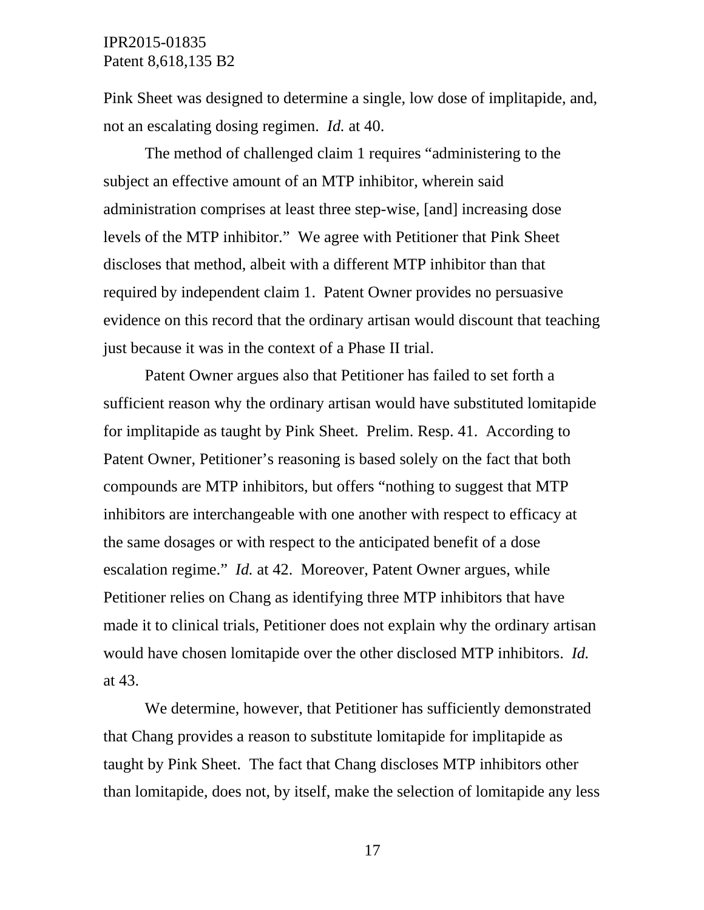Pink Sheet was designed to determine a single, low dose of implitapide, and, not an escalating dosing regimen. *Id.* at 40.

The method of challenged claim 1 requires "administering to the subject an effective amount of an MTP inhibitor, wherein said administration comprises at least three step-wise, [and] increasing dose levels of the MTP inhibitor." We agree with Petitioner that Pink Sheet discloses that method, albeit with a different MTP inhibitor than that required by independent claim 1. Patent Owner provides no persuasive evidence on this record that the ordinary artisan would discount that teaching just because it was in the context of a Phase II trial.

Patent Owner argues also that Petitioner has failed to set forth a sufficient reason why the ordinary artisan would have substituted lomitapide for implitapide as taught by Pink Sheet. Prelim. Resp. 41. According to Patent Owner, Petitioner's reasoning is based solely on the fact that both compounds are MTP inhibitors, but offers "nothing to suggest that MTP inhibitors are interchangeable with one another with respect to efficacy at the same dosages or with respect to the anticipated benefit of a dose escalation regime." *Id.* at 42. Moreover, Patent Owner argues, while Petitioner relies on Chang as identifying three MTP inhibitors that have made it to clinical trials, Petitioner does not explain why the ordinary artisan would have chosen lomitapide over the other disclosed MTP inhibitors. *Id.* at 43.

We determine, however, that Petitioner has sufficiently demonstrated that Chang provides a reason to substitute lomitapide for implitapide as taught by Pink Sheet. The fact that Chang discloses MTP inhibitors other than lomitapide, does not, by itself, make the selection of lomitapide any less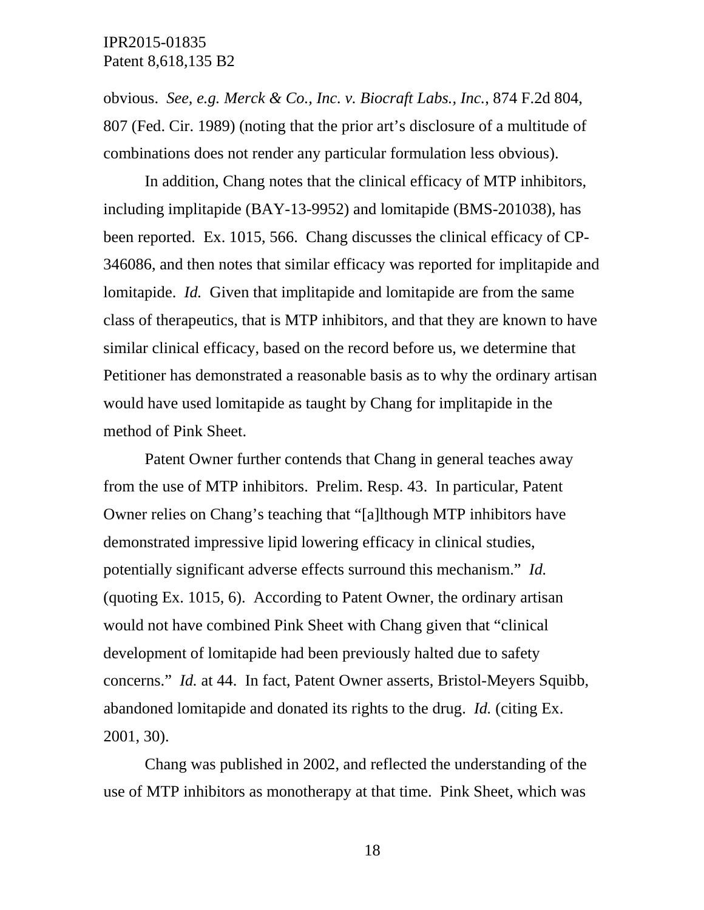obvious. *See, e.g. Merck & Co., Inc. v. Biocraft Labs., Inc.*, 874 F.2d 804, 807 (Fed. Cir. 1989) (noting that the prior art's disclosure of a multitude of combinations does not render any particular formulation less obvious).

In addition, Chang notes that the clinical efficacy of MTP inhibitors, including implitapide (BAY-13-9952) and lomitapide (BMS-201038), has been reported. Ex. 1015, 566. Chang discusses the clinical efficacy of CP-346086, and then notes that similar efficacy was reported for implitapide and lomitapide. *Id.* Given that implitapide and lomitapide are from the same class of therapeutics, that is MTP inhibitors, and that they are known to have similar clinical efficacy, based on the record before us, we determine that Petitioner has demonstrated a reasonable basis as to why the ordinary artisan would have used lomitapide as taught by Chang for implitapide in the method of Pink Sheet.

Patent Owner further contends that Chang in general teaches away from the use of MTP inhibitors. Prelim. Resp. 43. In particular, Patent Owner relies on Chang's teaching that "[a]lthough MTP inhibitors have demonstrated impressive lipid lowering efficacy in clinical studies, potentially significant adverse effects surround this mechanism." *Id.* (quoting Ex. 1015, 6). According to Patent Owner, the ordinary artisan would not have combined Pink Sheet with Chang given that "clinical development of lomitapide had been previously halted due to safety concerns." *Id.* at 44. In fact, Patent Owner asserts, Bristol-Meyers Squibb, abandoned lomitapide and donated its rights to the drug. *Id.* (citing Ex. 2001, 30).

Chang was published in 2002, and reflected the understanding of the use of MTP inhibitors as monotherapy at that time. Pink Sheet, which was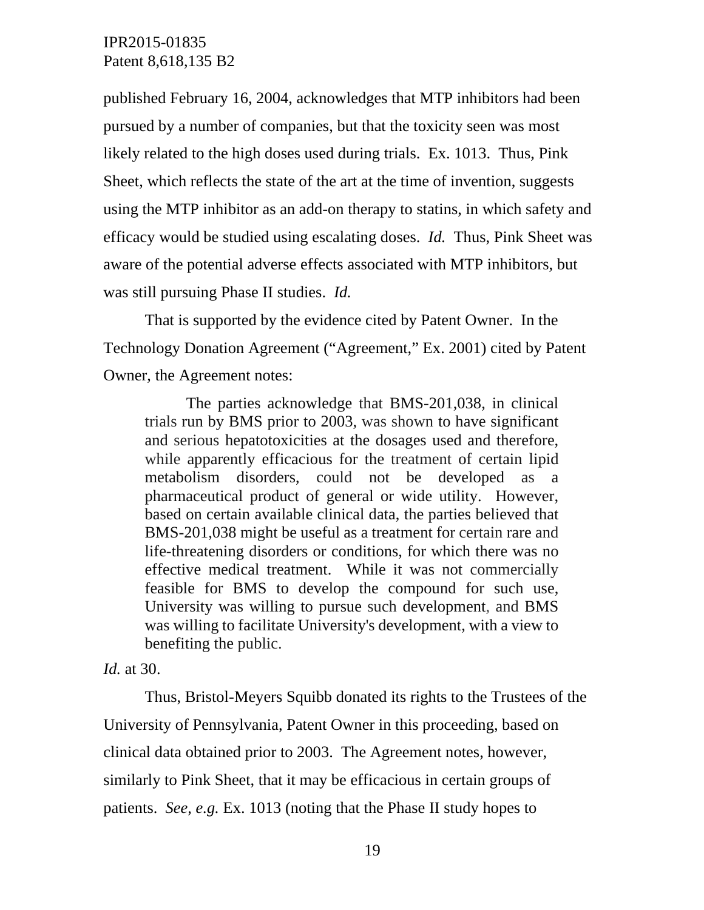published February 16, 2004, acknowledges that MTP inhibitors had been pursued by a number of companies, but that the toxicity seen was most likely related to the high doses used during trials. Ex. 1013. Thus, Pink Sheet, which reflects the state of the art at the time of invention, suggests using the MTP inhibitor as an add-on therapy to statins, in which safety and efficacy would be studied using escalating doses. *Id.* Thus, Pink Sheet was aware of the potential adverse effects associated with MTP inhibitors, but was still pursuing Phase II studies. *Id.*

That is supported by the evidence cited by Patent Owner. In the Technology Donation Agreement ("Agreement," Ex. 2001) cited by Patent Owner, the Agreement notes:

The parties acknowledge that BMS-201,038, in clinical trials run by BMS prior to 2003, was shown to have significant and serious hepatotoxicities at the dosages used and therefore, while apparently efficacious for the treatment of certain lipid metabolism disorders, could not be developed as a pharmaceutical product of general or wide utility. However, based on certain available clinical data, the parties believed that BMS-201,038 might be useful as a treatment for certain rare and life-threatening disorders or conditions, for which there was no effective medical treatment. While it was not commercially feasible for BMS to develop the compound for such use, University was willing to pursue such development, and BMS was willing to facilitate University's development, with a view to benefiting the public.

#### *Id.* at 30.

Thus, Bristol-Meyers Squibb donated its rights to the Trustees of the University of Pennsylvania, Patent Owner in this proceeding, based on clinical data obtained prior to 2003. The Agreement notes, however, similarly to Pink Sheet, that it may be efficacious in certain groups of patients. *See, e.g.* Ex. 1013 (noting that the Phase II study hopes to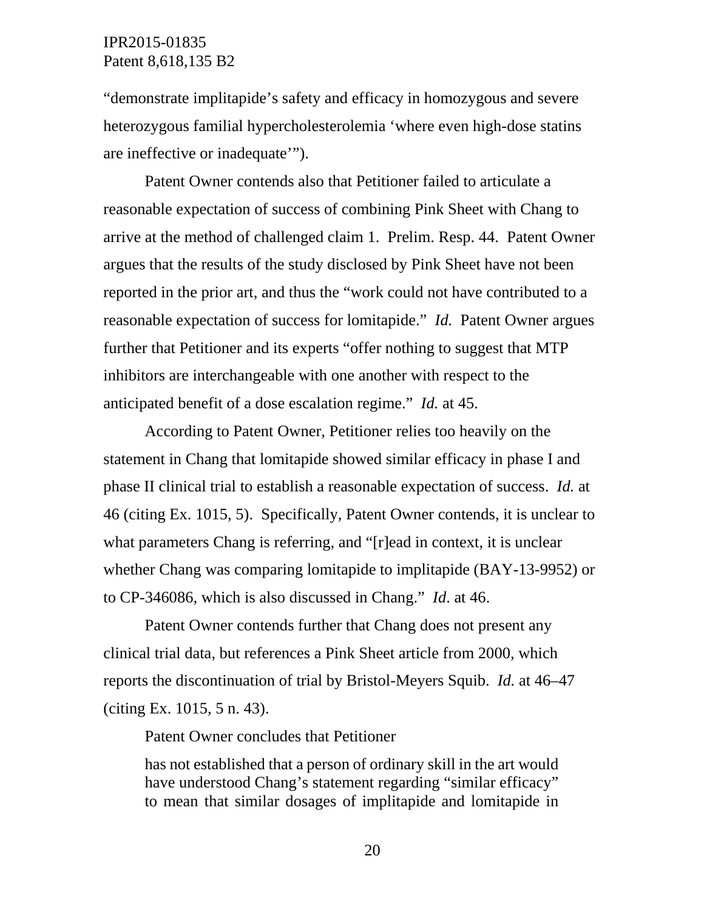"demonstrate implitapide's safety and efficacy in homozygous and severe heterozygous familial hypercholesterolemia 'where even high-dose statins are ineffective or inadequate'").

Patent Owner contends also that Petitioner failed to articulate a reasonable expectation of success of combining Pink Sheet with Chang to arrive at the method of challenged claim 1. Prelim. Resp. 44. Patent Owner argues that the results of the study disclosed by Pink Sheet have not been reported in the prior art, and thus the "work could not have contributed to a reasonable expectation of success for lomitapide." *Id.* Patent Owner argues further that Petitioner and its experts "offer nothing to suggest that MTP inhibitors are interchangeable with one another with respect to the anticipated benefit of a dose escalation regime." *Id.* at 45.

According to Patent Owner, Petitioner relies too heavily on the statement in Chang that lomitapide showed similar efficacy in phase I and phase II clinical trial to establish a reasonable expectation of success. *Id.* at 46 (citing Ex. 1015, 5). Specifically, Patent Owner contends, it is unclear to what parameters Chang is referring, and "[r]ead in context, it is unclear whether Chang was comparing lomitapide to implitapide (BAY-13-9952) or to CP-346086, which is also discussed in Chang." *Id*. at 46.

Patent Owner contends further that Chang does not present any clinical trial data, but references a Pink Sheet article from 2000, which reports the discontinuation of trial by Bristol-Meyers Squib. *Id.* at 46–47 (citing Ex. 1015, 5 n. 43).

Patent Owner concludes that Petitioner

has not established that a person of ordinary skill in the art would have understood Chang's statement regarding "similar efficacy" to mean that similar dosages of implitapide and lomitapide in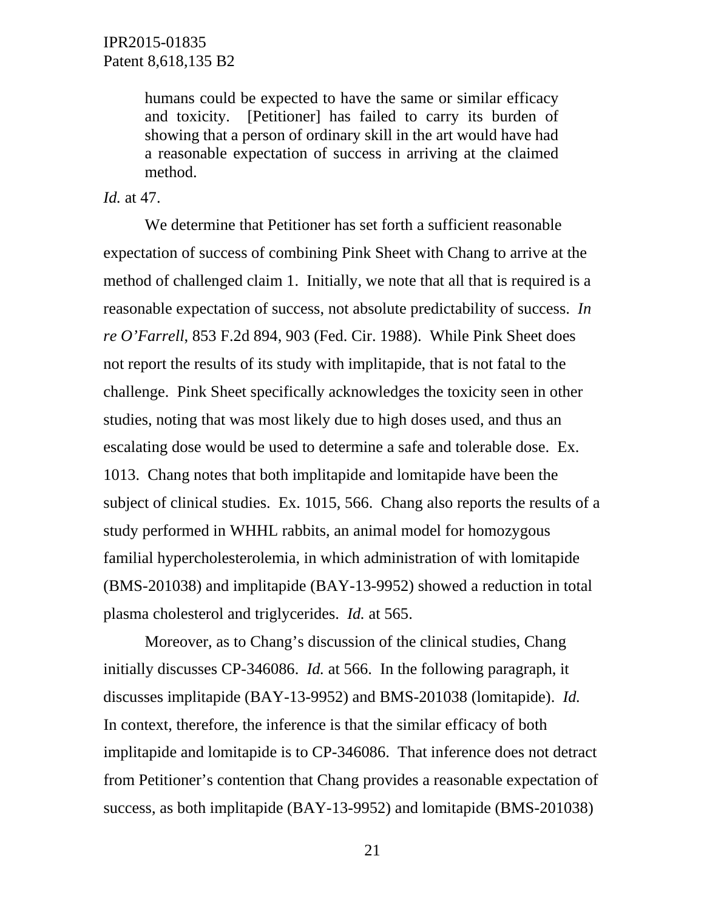humans could be expected to have the same or similar efficacy and toxicity. [Petitioner] has failed to carry its burden of showing that a person of ordinary skill in the art would have had a reasonable expectation of success in arriving at the claimed method.

#### *Id.* at 47.

We determine that Petitioner has set forth a sufficient reasonable expectation of success of combining Pink Sheet with Chang to arrive at the method of challenged claim 1. Initially, we note that all that is required is a reasonable expectation of success, not absolute predictability of success. *In re O'Farrell*, 853 F.2d 894, 903 (Fed. Cir. 1988). While Pink Sheet does not report the results of its study with implitapide, that is not fatal to the challenge. Pink Sheet specifically acknowledges the toxicity seen in other studies, noting that was most likely due to high doses used, and thus an escalating dose would be used to determine a safe and tolerable dose. Ex. 1013. Chang notes that both implitapide and lomitapide have been the subject of clinical studies. Ex. 1015, 566. Chang also reports the results of a study performed in WHHL rabbits, an animal model for homozygous familial hypercholesterolemia, in which administration of with lomitapide (BMS-201038) and implitapide (BAY-13-9952) showed a reduction in total plasma cholesterol and triglycerides. *Id.* at 565.

Moreover, as to Chang's discussion of the clinical studies, Chang initially discusses CP-346086. *Id.* at 566. In the following paragraph, it discusses implitapide (BAY-13-9952) and BMS-201038 (lomitapide). *Id.* In context, therefore, the inference is that the similar efficacy of both implitapide and lomitapide is to CP-346086. That inference does not detract from Petitioner's contention that Chang provides a reasonable expectation of success, as both implitapide (BAY-13-9952) and lomitapide (BMS-201038)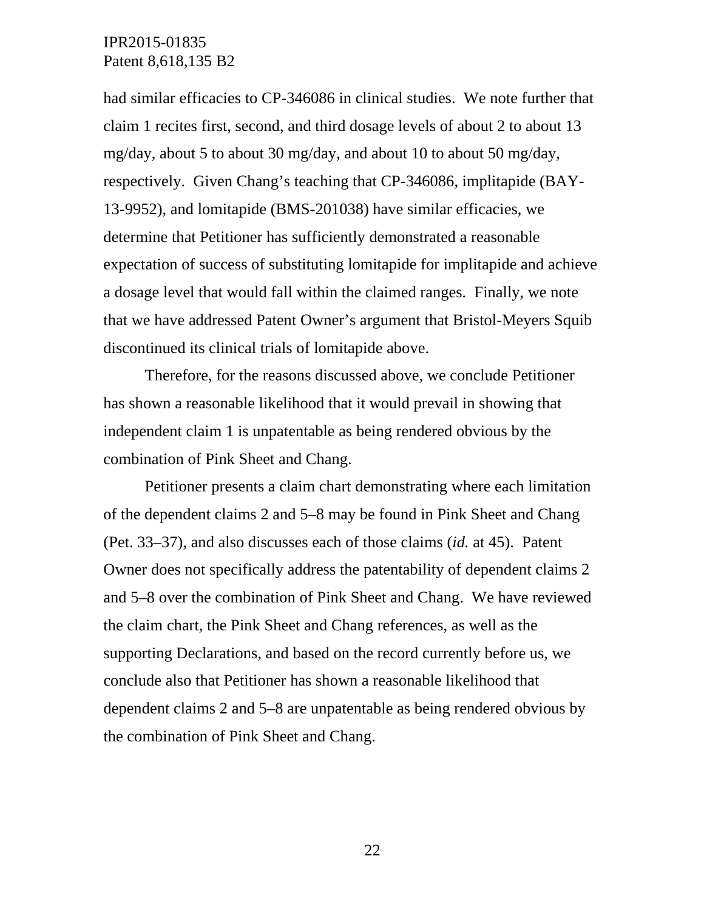had similar efficacies to CP-346086 in clinical studies. We note further that claim 1 recites first, second, and third dosage levels of about 2 to about 13 mg/day, about 5 to about 30 mg/day, and about 10 to about 50 mg/day, respectively. Given Chang's teaching that CP-346086, implitapide (BAY-13-9952), and lomitapide (BMS-201038) have similar efficacies, we determine that Petitioner has sufficiently demonstrated a reasonable expectation of success of substituting lomitapide for implitapide and achieve a dosage level that would fall within the claimed ranges. Finally, we note that we have addressed Patent Owner's argument that Bristol-Meyers Squib discontinued its clinical trials of lomitapide above.

Therefore, for the reasons discussed above, we conclude Petitioner has shown a reasonable likelihood that it would prevail in showing that independent claim 1 is unpatentable as being rendered obvious by the combination of Pink Sheet and Chang.

Petitioner presents a claim chart demonstrating where each limitation of the dependent claims 2 and 5–8 may be found in Pink Sheet and Chang (Pet. 33–37), and also discusses each of those claims (*id.* at 45). Patent Owner does not specifically address the patentability of dependent claims 2 and 5–8 over the combination of Pink Sheet and Chang. We have reviewed the claim chart, the Pink Sheet and Chang references, as well as the supporting Declarations, and based on the record currently before us, we conclude also that Petitioner has shown a reasonable likelihood that dependent claims 2 and 5–8 are unpatentable as being rendered obvious by the combination of Pink Sheet and Chang.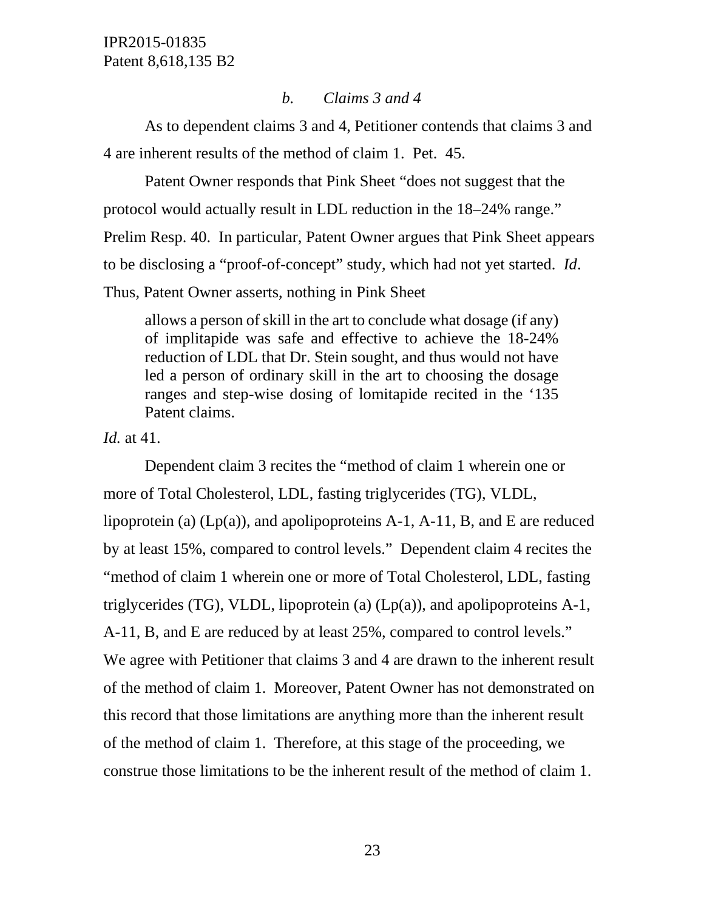## *b. Claims 3 and 4*

As to dependent claims 3 and 4, Petitioner contends that claims 3 and 4 are inherent results of the method of claim 1. Pet. 45.

Patent Owner responds that Pink Sheet "does not suggest that the protocol would actually result in LDL reduction in the 18–24% range." Prelim Resp. 40. In particular, Patent Owner argues that Pink Sheet appears to be disclosing a "proof-of-concept" study, which had not yet started. *Id*. Thus, Patent Owner asserts, nothing in Pink Sheet

allows a person of skill in the art to conclude what dosage (if any) of implitapide was safe and effective to achieve the 18-24% reduction of LDL that Dr. Stein sought, and thus would not have led a person of ordinary skill in the art to choosing the dosage ranges and step-wise dosing of lomitapide recited in the '135 Patent claims.

*Id.* at 41.

Dependent claim 3 recites the "method of claim 1 wherein one or more of Total Cholesterol, LDL, fasting triglycerides (TG), VLDL, lipoprotein (a) (Lp(a)), and apolipoproteins A-1, A-11, B, and E are reduced by at least 15%, compared to control levels." Dependent claim 4 recites the "method of claim 1 wherein one or more of Total Cholesterol, LDL, fasting triglycerides (TG), VLDL, lipoprotein (a) (Lp(a)), and apolipoproteins A-1, A-11, B, and E are reduced by at least 25%, compared to control levels." We agree with Petitioner that claims 3 and 4 are drawn to the inherent result of the method of claim 1. Moreover, Patent Owner has not demonstrated on this record that those limitations are anything more than the inherent result of the method of claim 1. Therefore, at this stage of the proceeding, we construe those limitations to be the inherent result of the method of claim 1.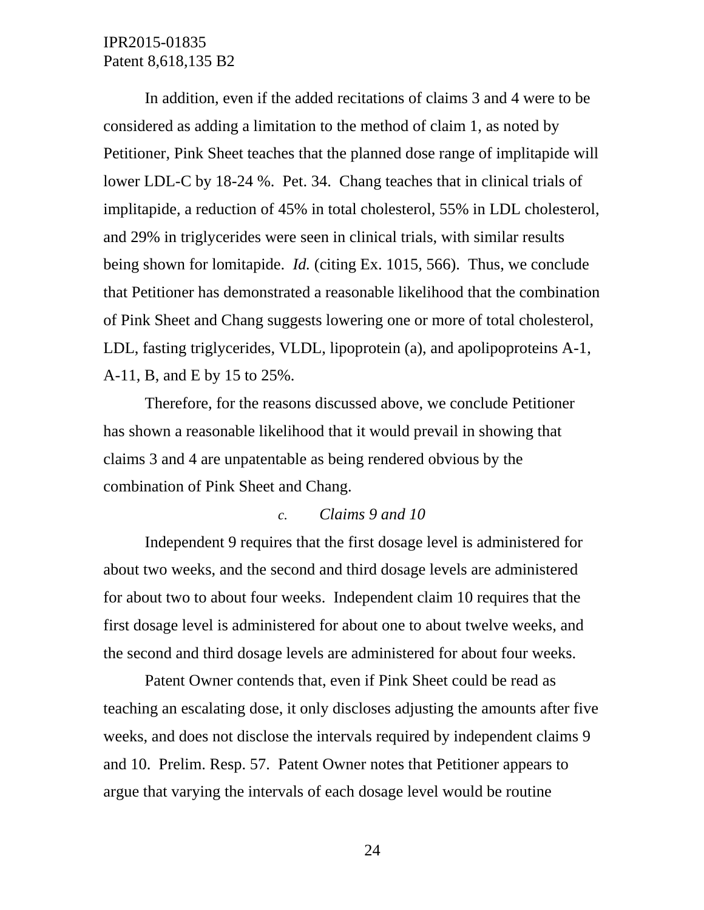In addition, even if the added recitations of claims 3 and 4 were to be considered as adding a limitation to the method of claim 1, as noted by Petitioner, Pink Sheet teaches that the planned dose range of implitapide will lower LDL-C by 18-24 %. Pet. 34. Chang teaches that in clinical trials of implitapide, a reduction of 45% in total cholesterol, 55% in LDL cholesterol, and 29% in triglycerides were seen in clinical trials, with similar results being shown for lomitapide. *Id.* (citing Ex. 1015, 566). Thus, we conclude that Petitioner has demonstrated a reasonable likelihood that the combination of Pink Sheet and Chang suggests lowering one or more of total cholesterol, LDL, fasting triglycerides, VLDL, lipoprotein (a), and apolipoproteins A-1, A-11, B, and E by 15 to 25%.

Therefore, for the reasons discussed above, we conclude Petitioner has shown a reasonable likelihood that it would prevail in showing that claims 3 and 4 are unpatentable as being rendered obvious by the combination of Pink Sheet and Chang.

#### *c. Claims 9 and 10*

Independent 9 requires that the first dosage level is administered for about two weeks, and the second and third dosage levels are administered for about two to about four weeks. Independent claim 10 requires that the first dosage level is administered for about one to about twelve weeks, and the second and third dosage levels are administered for about four weeks.

Patent Owner contends that, even if Pink Sheet could be read as teaching an escalating dose, it only discloses adjusting the amounts after five weeks, and does not disclose the intervals required by independent claims 9 and 10. Prelim. Resp. 57. Patent Owner notes that Petitioner appears to argue that varying the intervals of each dosage level would be routine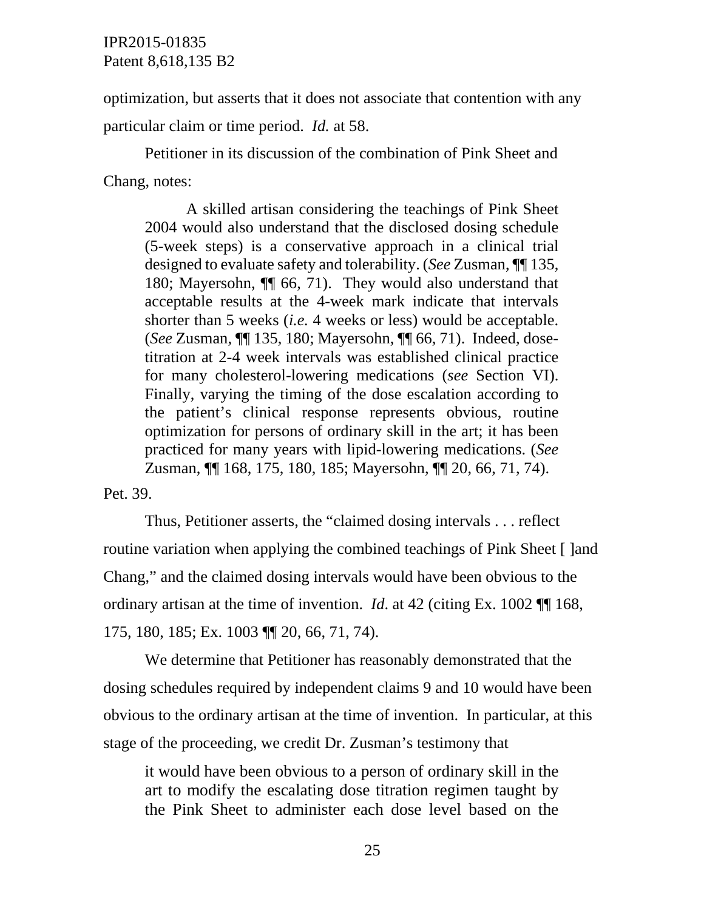optimization, but asserts that it does not associate that contention with any particular claim or time period. *Id.* at 58.

Petitioner in its discussion of the combination of Pink Sheet and Chang, notes:

A skilled artisan considering the teachings of Pink Sheet 2004 would also understand that the disclosed dosing schedule (5-week steps) is a conservative approach in a clinical trial designed to evaluate safety and tolerability. (*See* Zusman, ¶¶ 135, 180; Mayersohn, ¶¶ 66, 71). They would also understand that acceptable results at the 4-week mark indicate that intervals shorter than 5 weeks (*i.e.* 4 weeks or less) would be acceptable. (*See* Zusman, ¶¶ 135, 180; Mayersohn, ¶¶ 66, 71). Indeed, dosetitration at 2-4 week intervals was established clinical practice for many cholesterol-lowering medications (*see* Section VI). Finally, varying the timing of the dose escalation according to the patient's clinical response represents obvious, routine optimization for persons of ordinary skill in the art; it has been practiced for many years with lipid-lowering medications. (*See*  Zusman, ¶¶ 168, 175, 180, 185; Mayersohn, ¶¶ 20, 66, 71, 74).

Pet. 39.

Thus, Petitioner asserts, the "claimed dosing intervals . . . reflect routine variation when applying the combined teachings of Pink Sheet [ ]and Chang," and the claimed dosing intervals would have been obvious to the ordinary artisan at the time of invention. *Id*. at 42 (citing Ex. 1002 ¶¶ 168, 175, 180, 185; Ex. 1003 ¶¶ 20, 66, 71, 74).

We determine that Petitioner has reasonably demonstrated that the dosing schedules required by independent claims 9 and 10 would have been obvious to the ordinary artisan at the time of invention. In particular, at this stage of the proceeding, we credit Dr. Zusman's testimony that

it would have been obvious to a person of ordinary skill in the art to modify the escalating dose titration regimen taught by the Pink Sheet to administer each dose level based on the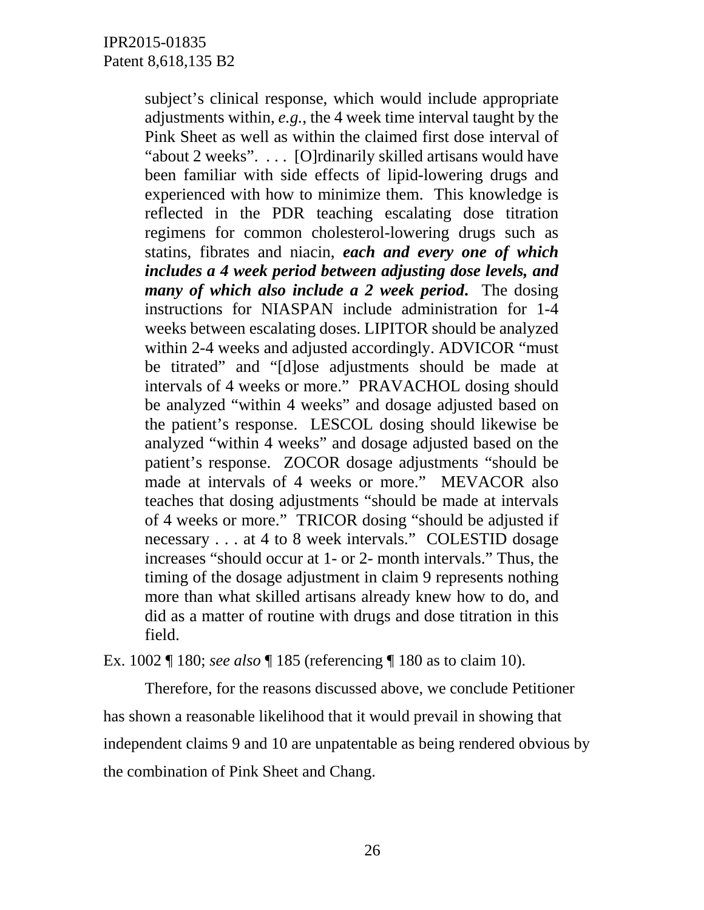subject's clinical response, which would include appropriate adjustments within, *e.g.*, the 4 week time interval taught by the Pink Sheet as well as within the claimed first dose interval of "about 2 weeks". . . . [O]rdinarily skilled artisans would have been familiar with side effects of lipid-lowering drugs and experienced with how to minimize them. This knowledge is reflected in the PDR teaching escalating dose titration regimens for common cholesterol-lowering drugs such as statins, fibrates and niacin, *each and every one of which includes a 4 week period between adjusting dose levels, and many of which also include a 2 week period***.** The dosing instructions for NIASPAN include administration for 1-4 weeks between escalating doses. LIPITOR should be analyzed within 2-4 weeks and adjusted accordingly. ADVICOR "must be titrated" and "[d]ose adjustments should be made at intervals of 4 weeks or more." PRAVACHOL dosing should be analyzed "within 4 weeks" and dosage adjusted based on the patient's response. LESCOL dosing should likewise be analyzed "within 4 weeks" and dosage adjusted based on the patient's response. ZOCOR dosage adjustments "should be made at intervals of 4 weeks or more." MEVACOR also teaches that dosing adjustments "should be made at intervals of 4 weeks or more." TRICOR dosing "should be adjusted if necessary . . . at 4 to 8 week intervals." COLESTID dosage increases "should occur at 1- or 2- month intervals." Thus, the timing of the dosage adjustment in claim 9 represents nothing more than what skilled artisans already knew how to do, and did as a matter of routine with drugs and dose titration in this field.

Ex. 1002 ¶ 180; *see also* ¶ 185 (referencing ¶ 180 as to claim 10).

Therefore, for the reasons discussed above, we conclude Petitioner has shown a reasonable likelihood that it would prevail in showing that independent claims 9 and 10 are unpatentable as being rendered obvious by the combination of Pink Sheet and Chang.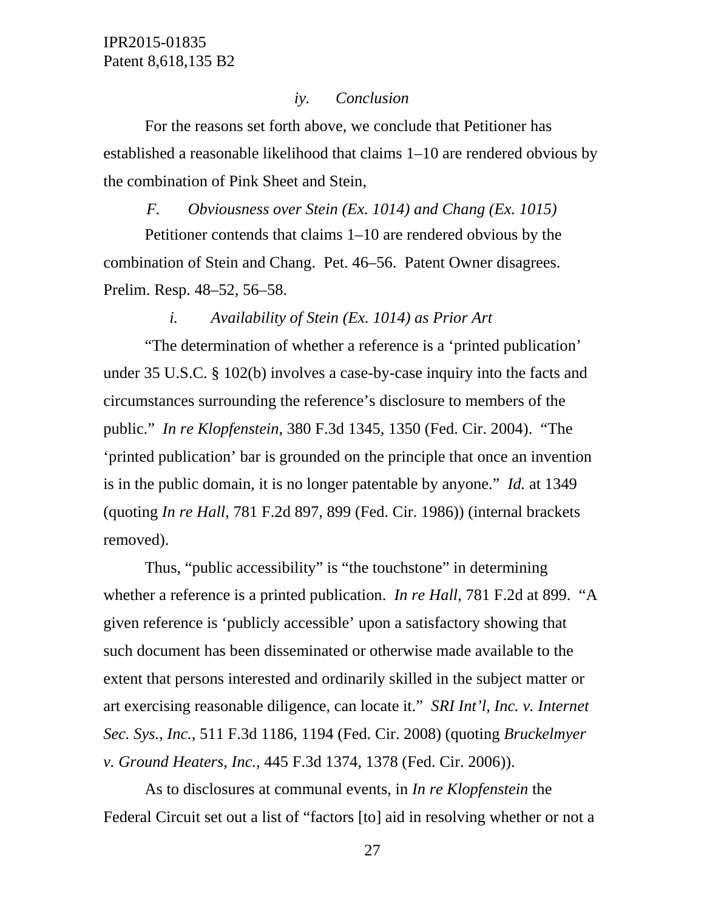#### *iy. Conclusion*

For the reasons set forth above, we conclude that Petitioner has established a reasonable likelihood that claims 1–10 are rendered obvious by the combination of Pink Sheet and Stein,

#### *F. Obviousness over Stein (Ex. 1014) and Chang (Ex. 1015)*

Petitioner contends that claims 1–10 are rendered obvious by the combination of Stein and Chang. Pet. 46–56. Patent Owner disagrees. Prelim. Resp. 48–52, 56–58.

#### *i. Availability of Stein (Ex. 1014) as Prior Art*

"The determination of whether a reference is a 'printed publication' under 35 U.S.C. § 102(b) involves a case-by-case inquiry into the facts and circumstances surrounding the reference's disclosure to members of the public." *In re Klopfenstein*, 380 F.3d 1345, 1350 (Fed. Cir. 2004). "The 'printed publication' bar is grounded on the principle that once an invention is in the public domain, it is no longer patentable by anyone." *Id.* at 1349 (quoting *In re Hall*, 781 F.2d 897, 899 (Fed. Cir. 1986)) (internal brackets removed).

Thus, "public accessibility" is "the touchstone" in determining whether a reference is a printed publication. *In re Hall*, 781 F.2d at 899. "A given reference is 'publicly accessible' upon a satisfactory showing that such document has been disseminated or otherwise made available to the extent that persons interested and ordinarily skilled in the subject matter or art exercising reasonable diligence, can locate it." *SRI Int'l, Inc. v. Internet Sec. Sys., Inc.*, 511 F.3d 1186, 1194 (Fed. Cir. 2008) (quoting *Bruckelmyer v. Ground Heaters, Inc.*, 445 F.3d 1374, 1378 (Fed. Cir. 2006)).

As to disclosures at communal events, in *In re Klopfenstein* the Federal Circuit set out a list of "factors [to] aid in resolving whether or not a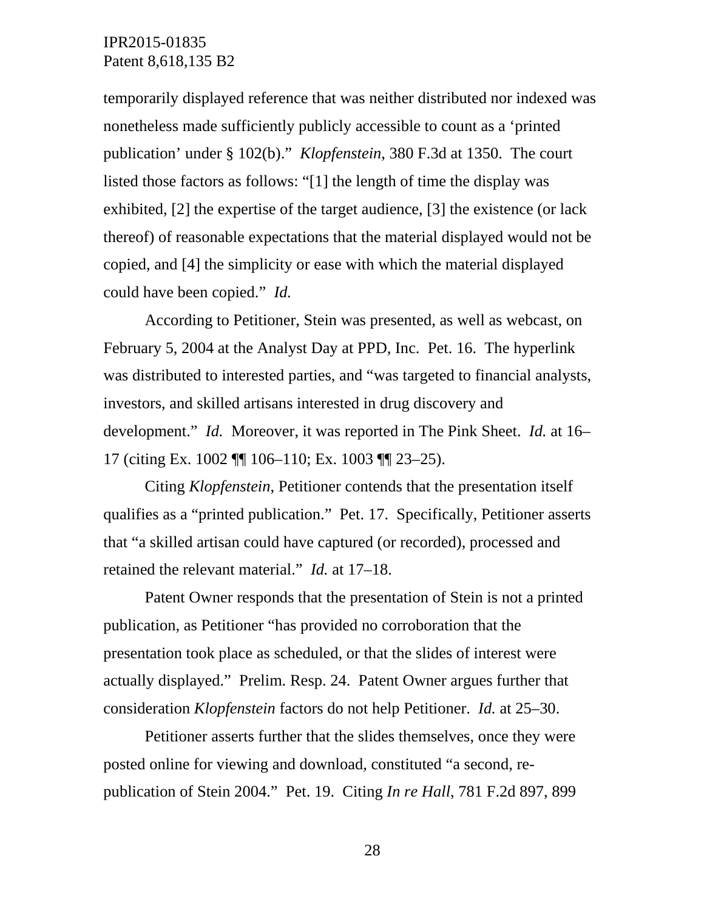temporarily displayed reference that was neither distributed nor indexed was nonetheless made sufficiently publicly accessible to count as a 'printed publication' under § 102(b)." *Klopfenstein*, 380 F.3d at 1350. The court listed those factors as follows: "[1] the length of time the display was exhibited, [2] the expertise of the target audience, [3] the existence (or lack thereof) of reasonable expectations that the material displayed would not be copied, and [4] the simplicity or ease with which the material displayed could have been copied." *Id.*

According to Petitioner, Stein was presented, as well as webcast, on February 5, 2004 at the Analyst Day at PPD, Inc. Pet. 16. The hyperlink was distributed to interested parties, and "was targeted to financial analysts, investors, and skilled artisans interested in drug discovery and development." *Id.* Moreover, it was reported in The Pink Sheet. *Id.* at 16– 17 (citing Ex. 1002 ¶¶ 106–110; Ex. 1003 ¶¶ 23–25).

Citing *Klopfenstein*, Petitioner contends that the presentation itself qualifies as a "printed publication." Pet. 17. Specifically, Petitioner asserts that "a skilled artisan could have captured (or recorded), processed and retained the relevant material." *Id.* at 17–18.

Patent Owner responds that the presentation of Stein is not a printed publication, as Petitioner "has provided no corroboration that the presentation took place as scheduled, or that the slides of interest were actually displayed." Prelim. Resp. 24. Patent Owner argues further that consideration *Klopfenstein* factors do not help Petitioner. *Id.* at 25–30.

Petitioner asserts further that the slides themselves, once they were posted online for viewing and download, constituted "a second, republication of Stein 2004." Pet. 19. Citing *In re Hall*, 781 F.2d 897, 899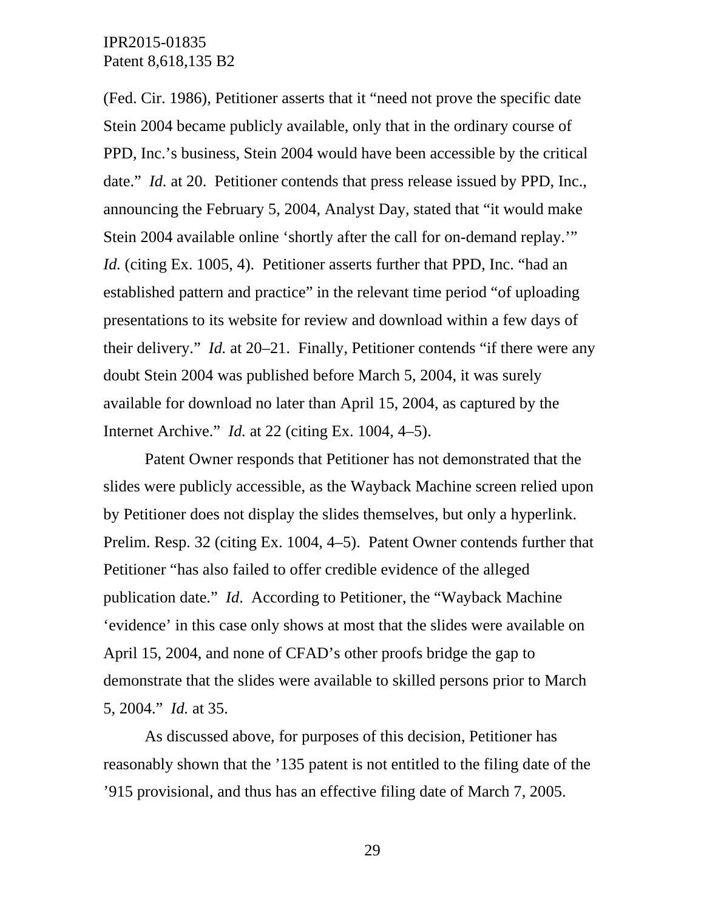(Fed. Cir. 1986), Petitioner asserts that it "need not prove the specific date Stein 2004 became publicly available, only that in the ordinary course of PPD, Inc.'s business, Stein 2004 would have been accessible by the critical date." *Id.* at 20. Petitioner contends that press release issued by PPD, Inc., announcing the February 5, 2004, Analyst Day, stated that "it would make Stein 2004 available online 'shortly after the call for on-demand replay.'" *Id.* (citing Ex. 1005, 4). Petitioner asserts further that PPD, Inc. "had an established pattern and practice" in the relevant time period "of uploading presentations to its website for review and download within a few days of their delivery." *Id.* at 20–21. Finally, Petitioner contends "if there were any doubt Stein 2004 was published before March 5, 2004, it was surely available for download no later than April 15, 2004, as captured by the Internet Archive." *Id.* at 22 (citing Ex. 1004, 4–5).

Patent Owner responds that Petitioner has not demonstrated that the slides were publicly accessible, as the Wayback Machine screen relied upon by Petitioner does not display the slides themselves, but only a hyperlink. Prelim. Resp. 32 (citing Ex. 1004, 4–5). Patent Owner contends further that Petitioner "has also failed to offer credible evidence of the alleged publication date." *Id*. According to Petitioner, the "Wayback Machine 'evidence' in this case only shows at most that the slides were available on April 15, 2004, and none of CFAD's other proofs bridge the gap to demonstrate that the slides were available to skilled persons prior to March 5, 2004." *Id.* at 35.

As discussed above, for purposes of this decision, Petitioner has reasonably shown that the '135 patent is not entitled to the filing date of the '915 provisional, and thus has an effective filing date of March 7, 2005.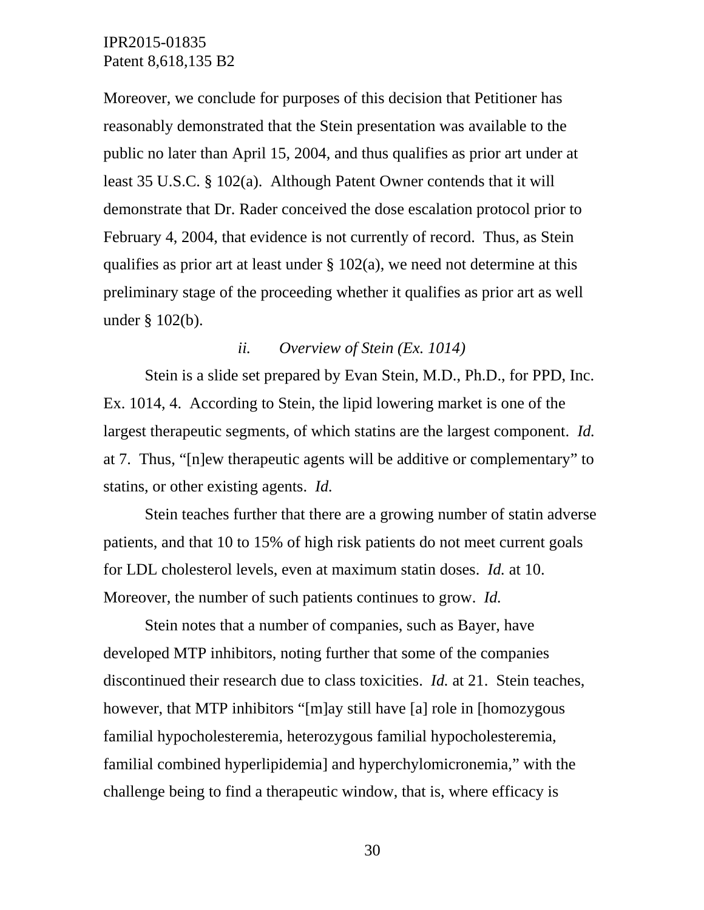Moreover, we conclude for purposes of this decision that Petitioner has reasonably demonstrated that the Stein presentation was available to the public no later than April 15, 2004, and thus qualifies as prior art under at least 35 U.S.C. § 102(a). Although Patent Owner contends that it will demonstrate that Dr. Rader conceived the dose escalation protocol prior to February 4, 2004, that evidence is not currently of record. Thus, as Stein qualifies as prior art at least under  $\S$  102(a), we need not determine at this preliminary stage of the proceeding whether it qualifies as prior art as well under § 102(b).

#### *ii. Overview of Stein (Ex. 1014)*

Stein is a slide set prepared by Evan Stein, M.D., Ph.D., for PPD, Inc. Ex. 1014, 4. According to Stein, the lipid lowering market is one of the largest therapeutic segments, of which statins are the largest component. *Id.* at 7. Thus, "[n]ew therapeutic agents will be additive or complementary" to statins, or other existing agents. *Id.*

Stein teaches further that there are a growing number of statin adverse patients, and that 10 to 15% of high risk patients do not meet current goals for LDL cholesterol levels, even at maximum statin doses. *Id.* at 10. Moreover, the number of such patients continues to grow. *Id.*

Stein notes that a number of companies, such as Bayer, have developed MTP inhibitors, noting further that some of the companies discontinued their research due to class toxicities. *Id.* at 21. Stein teaches, however, that MTP inhibitors "[m]ay still have [a] role in [homozygous familial hypocholesteremia, heterozygous familial hypocholesteremia, familial combined hyperlipidemia] and hyperchylomicronemia," with the challenge being to find a therapeutic window, that is, where efficacy is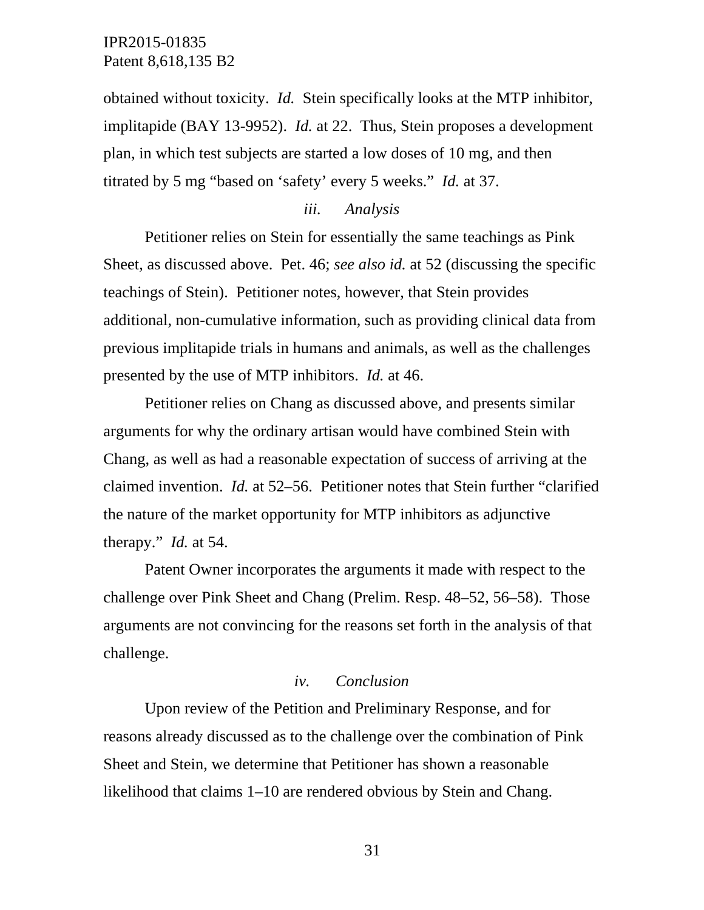obtained without toxicity. *Id.* Stein specifically looks at the MTP inhibitor, implitapide (BAY 13-9952). *Id.* at 22. Thus, Stein proposes a development plan, in which test subjects are started a low doses of 10 mg, and then titrated by 5 mg "based on 'safety' every 5 weeks." *Id.* at 37.

#### *iii. Analysis*

Petitioner relies on Stein for essentially the same teachings as Pink Sheet, as discussed above. Pet. 46; *see also id.* at 52 (discussing the specific teachings of Stein). Petitioner notes, however, that Stein provides additional, non-cumulative information, such as providing clinical data from previous implitapide trials in humans and animals, as well as the challenges presented by the use of MTP inhibitors. *Id.* at 46.

Petitioner relies on Chang as discussed above, and presents similar arguments for why the ordinary artisan would have combined Stein with Chang, as well as had a reasonable expectation of success of arriving at the claimed invention. *Id.* at 52–56. Petitioner notes that Stein further "clarified the nature of the market opportunity for MTP inhibitors as adjunctive therapy." *Id.* at 54.

Patent Owner incorporates the arguments it made with respect to the challenge over Pink Sheet and Chang (Prelim. Resp. 48–52, 56–58). Those arguments are not convincing for the reasons set forth in the analysis of that challenge.

#### *iv. Conclusion*

Upon review of the Petition and Preliminary Response, and for reasons already discussed as to the challenge over the combination of Pink Sheet and Stein, we determine that Petitioner has shown a reasonable likelihood that claims 1–10 are rendered obvious by Stein and Chang.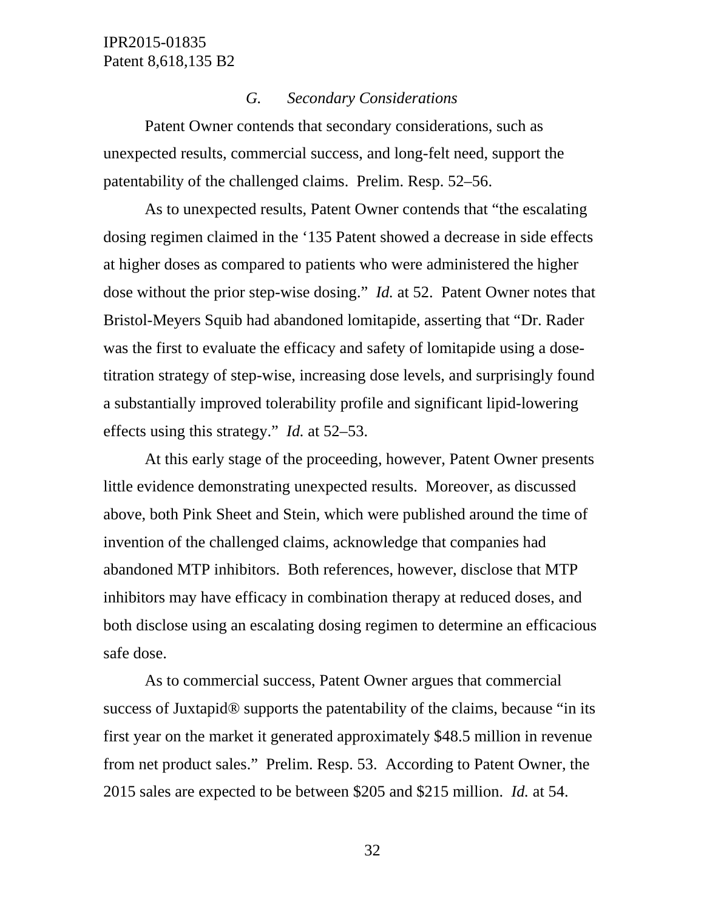#### *G. Secondary Considerations*

Patent Owner contends that secondary considerations, such as unexpected results, commercial success, and long-felt need, support the patentability of the challenged claims. Prelim. Resp. 52–56.

As to unexpected results, Patent Owner contends that "the escalating dosing regimen claimed in the '135 Patent showed a decrease in side effects at higher doses as compared to patients who were administered the higher dose without the prior step-wise dosing." *Id.* at 52. Patent Owner notes that Bristol-Meyers Squib had abandoned lomitapide, asserting that "Dr. Rader was the first to evaluate the efficacy and safety of lomitapide using a dosetitration strategy of step-wise, increasing dose levels, and surprisingly found a substantially improved tolerability profile and significant lipid-lowering effects using this strategy." *Id.* at 52–53.

At this early stage of the proceeding, however, Patent Owner presents little evidence demonstrating unexpected results. Moreover, as discussed above, both Pink Sheet and Stein, which were published around the time of invention of the challenged claims, acknowledge that companies had abandoned MTP inhibitors. Both references, however, disclose that MTP inhibitors may have efficacy in combination therapy at reduced doses, and both disclose using an escalating dosing regimen to determine an efficacious safe dose.

As to commercial success, Patent Owner argues that commercial success of Juxtapid® supports the patentability of the claims, because "in its first year on the market it generated approximately \$48.5 million in revenue from net product sales." Prelim. Resp. 53. According to Patent Owner, the 2015 sales are expected to be between \$205 and \$215 million. *Id.* at 54.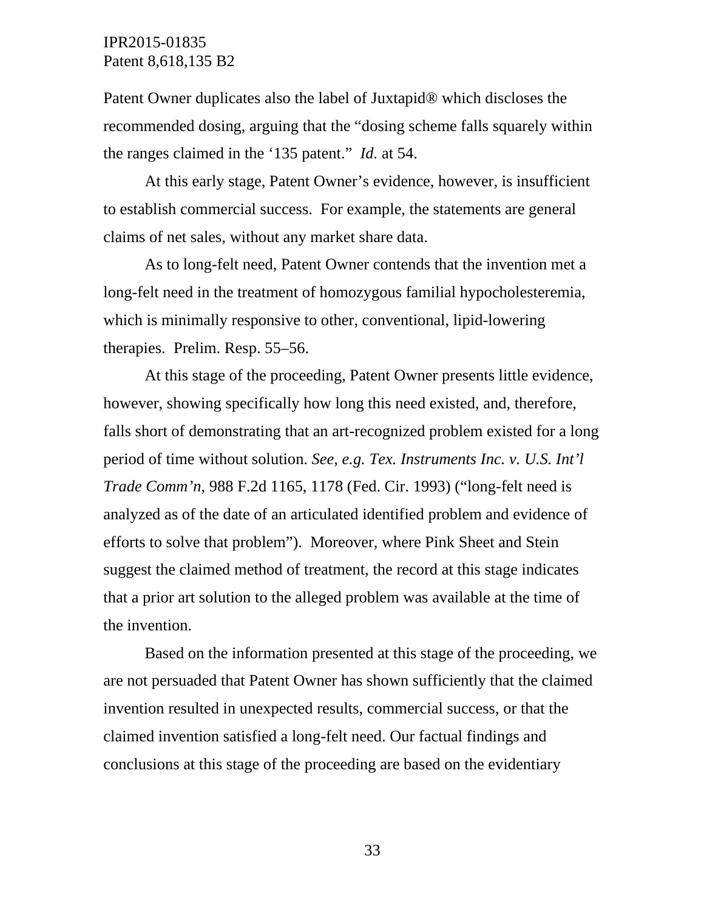Patent Owner duplicates also the label of Juxtapid® which discloses the recommended dosing, arguing that the "dosing scheme falls squarely within the ranges claimed in the '135 patent." *Id.* at 54.

At this early stage, Patent Owner's evidence, however, is insufficient to establish commercial success. For example, the statements are general claims of net sales, without any market share data.

As to long-felt need, Patent Owner contends that the invention met a long-felt need in the treatment of homozygous familial hypocholesteremia, which is minimally responsive to other, conventional, lipid-lowering therapies. Prelim. Resp. 55–56.

At this stage of the proceeding, Patent Owner presents little evidence, however, showing specifically how long this need existed, and, therefore, falls short of demonstrating that an art-recognized problem existed for a long period of time without solution. *See, e.g. Tex. Instruments Inc. v. U.S. Int'l Trade Comm'n*, 988 F.2d 1165, 1178 (Fed. Cir. 1993) ("long-felt need is analyzed as of the date of an articulated identified problem and evidence of efforts to solve that problem"). Moreover, where Pink Sheet and Stein suggest the claimed method of treatment, the record at this stage indicates that a prior art solution to the alleged problem was available at the time of the invention.

Based on the information presented at this stage of the proceeding, we are not persuaded that Patent Owner has shown sufficiently that the claimed invention resulted in unexpected results, commercial success, or that the claimed invention satisfied a long-felt need. Our factual findings and conclusions at this stage of the proceeding are based on the evidentiary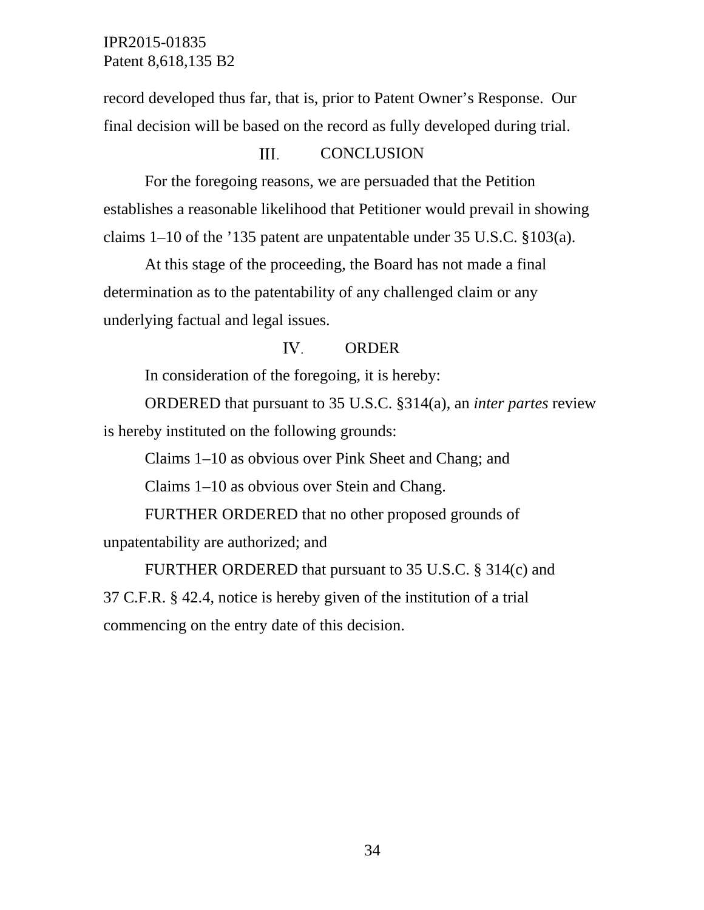record developed thus far, that is, prior to Patent Owner's Response. Our final decision will be based on the record as fully developed during trial.

#### III. **CONCLUSION**

For the foregoing reasons, we are persuaded that the Petition establishes a reasonable likelihood that Petitioner would prevail in showing claims 1–10 of the '135 patent are unpatentable under 35 U.S.C. §103(a).

At this stage of the proceeding, the Board has not made a final determination as to the patentability of any challenged claim or any underlying factual and legal issues.

#### IV. ORDER

In consideration of the foregoing, it is hereby:

ORDERED that pursuant to 35 U.S.C. §314(a), an *inter partes* review is hereby instituted on the following grounds:

Claims 1–10 as obvious over Pink Sheet and Chang; and

Claims 1–10 as obvious over Stein and Chang.

FURTHER ORDERED that no other proposed grounds of unpatentability are authorized; and

FURTHER ORDERED that pursuant to 35 U.S.C. § 314(c) and 37 C.F.R. § 42.4, notice is hereby given of the institution of a trial commencing on the entry date of this decision.